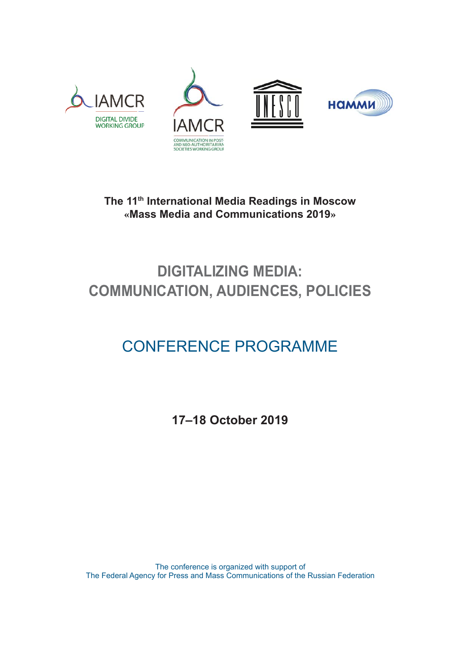







**The 11th International Media Readings in Moscow «Mass Media and Communications 2019»**

## **DIGITALIZING MEDIA: COMMUNICATION, AUDIENCES, POLICIES**

# CONFERENCE PROGRAMME

**17–18 October 2019**

The conference is organized with support of The Federal Agency for Press and Mass Communications of the Russian Federation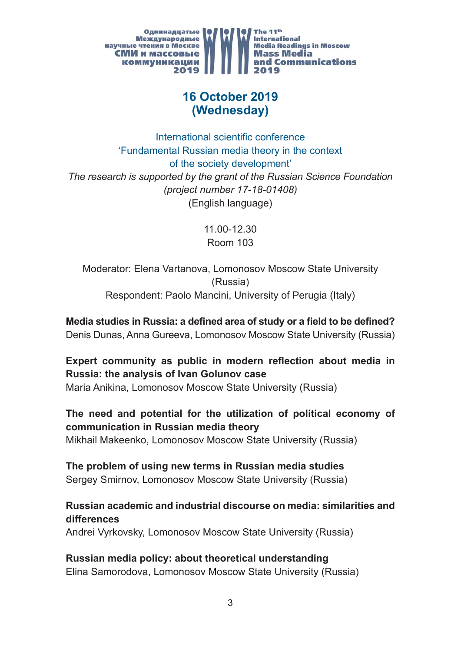

## **16 October 2019 (Wednesday)**

International scientific conference 'Fundamental Russian media theory in the context of the society development' *The research is supported by the grant of the Russian Science Foundation (project number 17-18-01408)* (English language)

> 11.00-12.30 Room 103

Moderator: Elena Vartanova, Lomonosov Moscow State University (Russia) Respondent: Paolo Mancini, University of Perugia (Italy)

**Media studies in Russia: a defined area of study or a field to be defined?** Denis Dunas, Anna Gureeva, Lomonosov Moscow State University (Russia)

## **Expert community as public in modern reflection about media in Russia: the analysis of Ivan Golunov case**

Maria Anikina, Lomonosov Moscow State University (Russia)

#### **The need and potential for the utilization of political economy of communication in Russian media theory**

Mikhail Makeenko, Lomonosov Moscow State University (Russia)

#### **The problem of using new terms in Russian media studies**

Sergey Smirnov, Lomonosov Moscow State University (Russia)

#### **Russian academic and industrial discourse on media: similarities and differences**

Andrei Vyrkovsky, Lomonosov Moscow State University (Russia)

#### **Russian media policy: about theoretical understanding** Elina Samorodova, Lomonosov Moscow State University (Russia)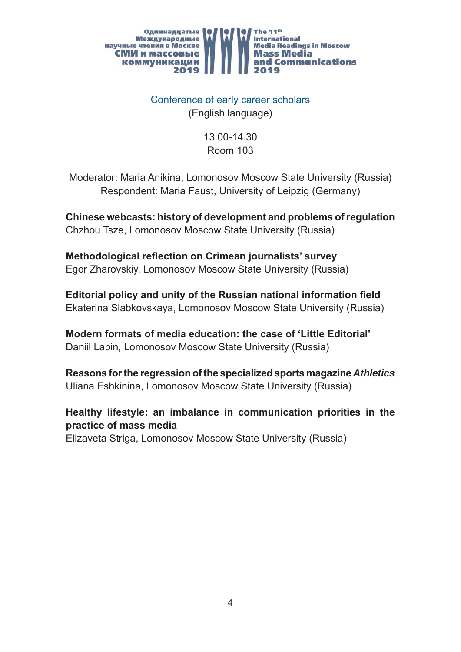

Conference of early career scholars (English language)

> 13.00-14.30 Room 103

Moderator: Maria Anikina, Lomonosov Moscow State University (Russia) Respondent: Maria Faust, University of Leipzig (Germany)

**Chinese webcasts: history of development and problems of regulation** Chzhou Tsze, Lomonosov Moscow State University (Russia)

**Methodological reflection on Crimean journalists' survey** Egor Zharovskiy, Lomonosov Moscow State University (Russia)

**Editorial policy and unity of the Russian national information field** Ekaterina Slabkovskaya, Lomonosov Moscow State University (Russia)

**Modern formats of media education: the case of 'Little Editorial'** Daniil Lapin, Lomonosov Moscow State University (Russia)

**Reasons for the regression of the specialized sports magazine** *Athletics* Uliana Eshkinina, Lomonosov Moscow State University (Russia)

**Healthy lifestyle: an imbalance in communication priorities in the practice of mass media**

Elizaveta Striga, Lomonosov Moscow State University (Russia)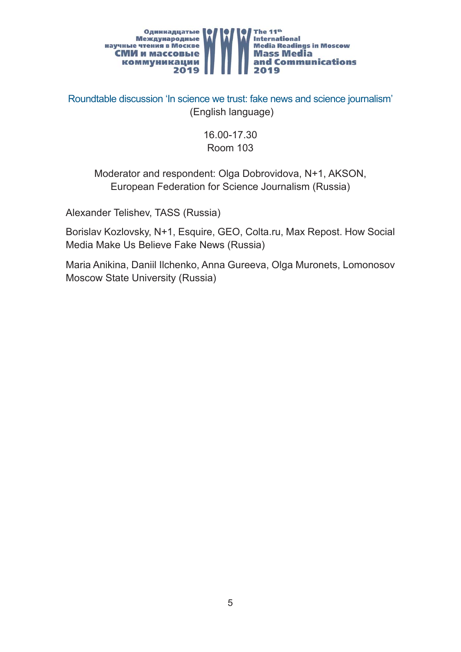

Roundtable discussion 'In science we trust: fake news and science journalism' (English language)

#### 16.00-17.30 Room 103

#### Moderator and respondent: Olga Dobrovidova, N+1, AKSON, European Federation for Science Journalism (Russia)

Alexander Telishev, TASS (Russia)

Borislav Kozlovsky, N+1, Esquirе, GEO, Colta.ru, Max Repost. How Social Media Make Us Believe Fake News (Russia)

Maria Anikina, Daniil Ilchenko, Anna Gureeva, Olga Muronets, Lomonosov Moscow State University (Russia)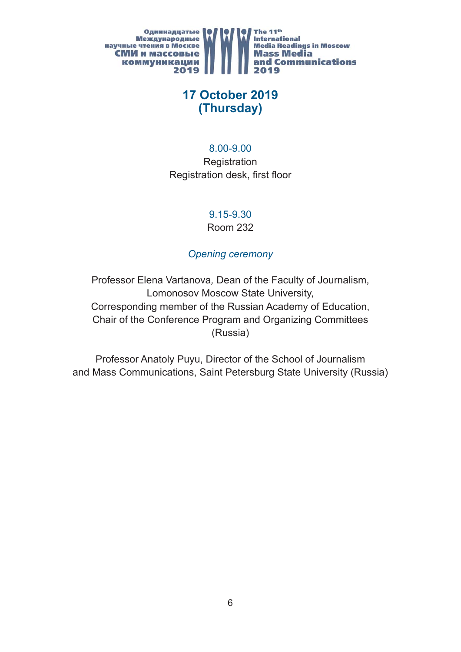

## **17 October 2019 (Thursday)**

#### 8.00-9.00

**Registration** Registration desk, first floor

#### 9.15-9.30

Room 232

#### *Opening ceremony*

Professor Elena Vartanova*,* Dean of the Faculty of Journalism, Lomonosov Moscow State University, Corresponding member of the Russian Academy of Education, Chair of the Conference Program and Organizing Committees (Russia)

Professor Anatoly Puyu, Director of the School of Journalism and Mass Communications, Saint Petersburg State University (Russia)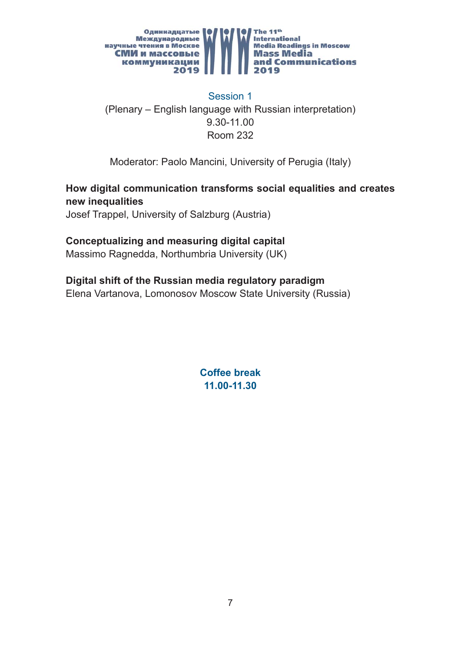

Session 1 (Plenary – English language with Russian interpretation) 9.30-11.00 Room 232

Moderator: Paolo Mancini, University of Perugia (Italy)

#### **How digital communication transforms social equalities and creates new inequalities**

Josef Trappel, University of Salzburg (Austria)

#### **Conceptualizing and measuring digital capital**

Massimo Ragnedda, Northumbria University (UK)

#### **Digital shift of the Russian media regulatory paradigm**

Elena Vartanova, Lomonosov Moscow State University (Russia)

**Coffee break 11.00-11.30**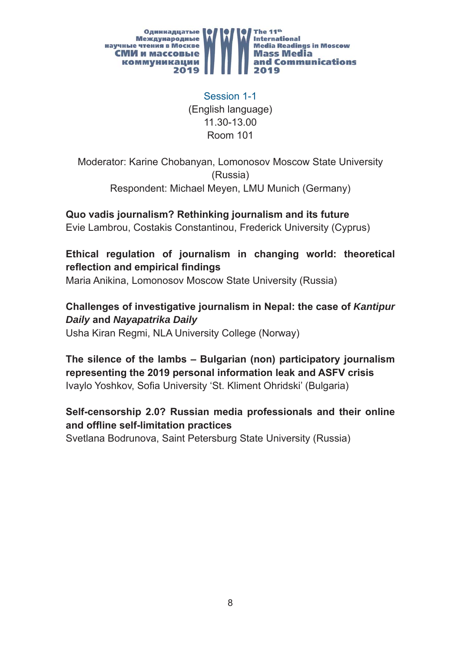

Session 1-1 (English language) 11.30-13.00 Room 101

Moderator: Karine Chobanyan, Lomonosov Moscow State University (Russia) Respondent: Michael Meyen, LMU Munich (Germany)

**Quo vadis journalism? Rethinking journalism and its future** Evie Lambrou, Costakis Constantinou, Frederick University (Cyprus)

**Ethical regulation of journalism in changing world: theoretical reflection and empirical findings** 

Maria Anikina, Lomonosov Moscow State University (Russia)

**Challenges of investigative journalism in Nepal: the case of** *Kantipur Daily* **and** *Nayapatrika Daily*

Usha Kiran Regmi, NLA University College (Norway)

**The silence of the lambs – Bulgarian (non) participatory journalism representing the 2019 personal information leak and ASFV crisis** Ivaylo Yoshkov, Sofia University 'St. Kliment Ohridski' (Bulgaria)

#### **Self-censorship 2.0? Russian media professionals and their online and offl ine self-limitation practices**

Svetlana Bodrunova, Saint Petersburg State University (Russia)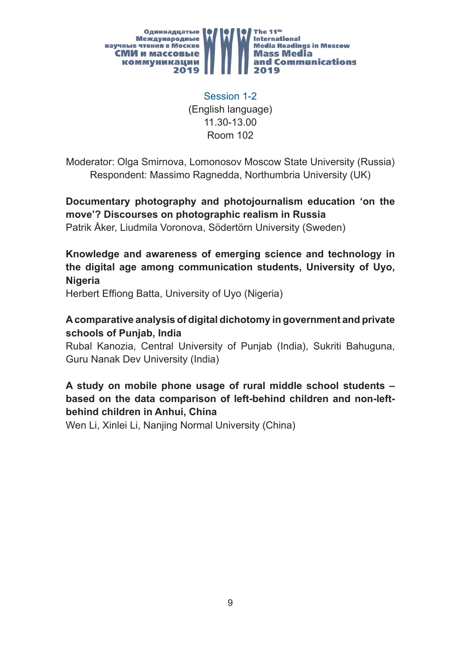

Session 1-2 (English language) 11.30-13.00 Room 102

Moderator: Olga Smirnova, Lomonosov Moscow State University (Russia) Respondent: Massimo Ragnedda, Northumbria University (UK)

**Documentary photography and photojournalism education 'on the move'? Discourses on photographic realism in Russia**

Patrik Åker, Liudmila Voronova, Södertörn University (Sweden)

**Knowledge and awareness of emerging science and technology in the digital age among communication students, University of Uyo, Nigeria**

Herbert Effiong Batta, University of Uyo (Nigeria)

#### **A comparative analysis of digital dichotomy in government and private schools of Punjab, India**

Rubal Kanozia, Central University of Punjab (India), Sukriti Bahuguna, Guru Nanak Dev University (India)

#### **A study on mobile phone usage of rural middle school students – based on the data comparison of left-behind children and non-leftbehind children in Anhui, China**

Wen Li, Xinlei Li, Nanjing Normal University (China)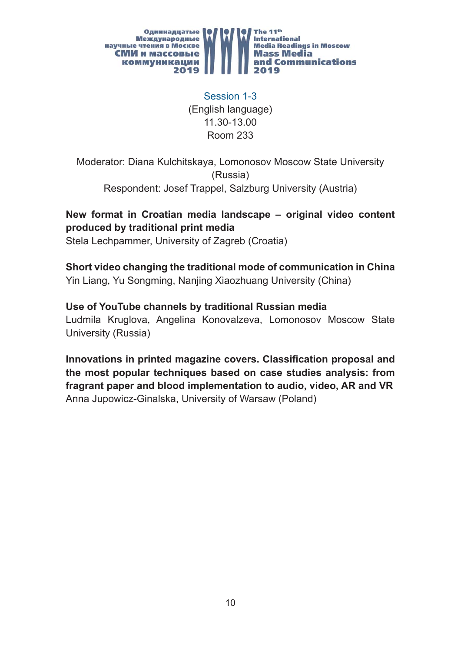

Session 1-3 (English language) 11.30-13.00 Room 233

Moderator: Diana Kulchitskaya, Lomonosov Moscow State University (Russia) Respondent: Josef Trappel, Salzburg University (Austria)

## **New format in Croatian media landscape – original video content produced by traditional print media**

Stela Lechpammer, University of Zagreb (Croatia)

#### **Short video changing the traditional mode of communication in China**

Yin Liang, Yu Songming, Nanjing Xiaozhuang University (China)

#### **Use of YouTube channels by traditional Russian media**

Ludmila Kruglova, Angelina Konovalzeva, Lomonosov Moscow State University (Russia)

**Innovations in printed magazine covers. Classification proposal and the most popular techniques based on case studies analysis: from fragrant paper and blood implementation to audio, video, AR and VR** Anna Jupowicz-Ginalska, University of Warsaw (Poland)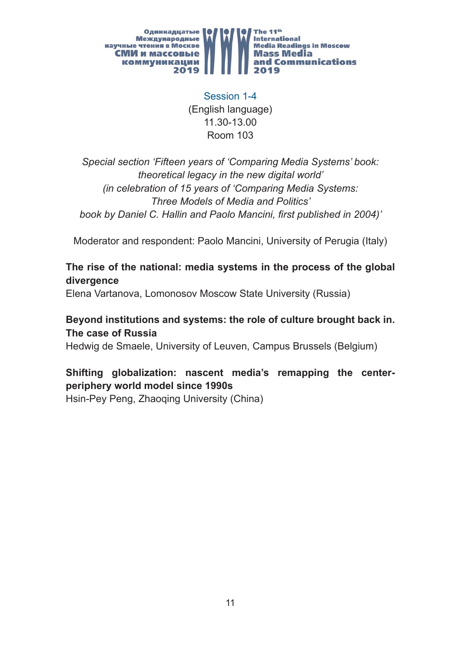

Session 1-4 (English language) 11.30-13.00 Room 103

*Special section 'Fifteen years of 'Comparing Media Systems' book: theoretical legacy in the new digital world' (in celebration of 15 years of 'Comparing Media Systems: Three Models of Media and Politics'*  book by Daniel C. Hallin and Paolo Mancini, first published in 2004)'

Moderator and respondent: Paolo Mancini, University of Perugia (Italy)

#### **The rise of the national: media systems in the process of the global divergence**

Elena Vartanova, Lomonosov Moscow State University (Russia)

#### **Beyond institutions and systems: the role of culture brought back in. The case of Russia**

Hedwig de Smaele, University of Leuven, Campus Brussels (Belgium)

## **Shifting globalization: nascent media's remapping the centerperiphery world model since 1990s**

Hsin-Pey Peng, Zhaoqing University (China)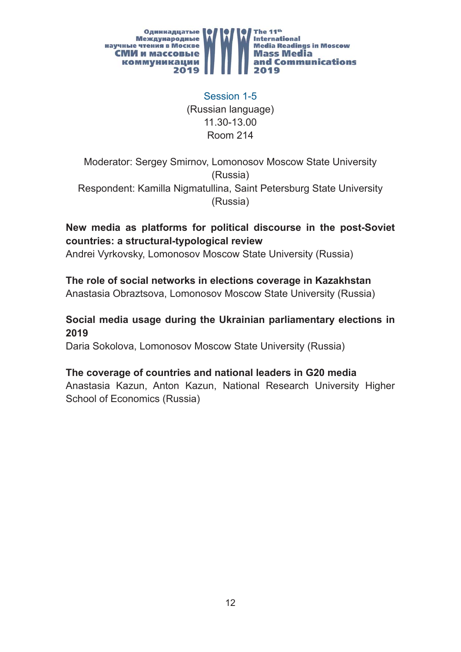

Session 1-5 (Russian language) 11.30-13.00 Room 214

Moderator: Sergey Smirnov, Lomonosov Moscow State University (Russia) Respondent: Kamilla Nigmatullina, Saint Petersburg State University (Russia)

#### **New media as platforms for political discourse in the post-Soviet countries: a structural-typological review**

Andrei Vyrkovsky, Lomonosov Moscow State University (Russia)

#### **The role of social networks in elections coverage in Kazakhstan** Anastasia Obraztsova, Lomonosov Moscow State University (Russia)

#### **Social media usage during the Ukrainian parliamentary elections in 2019**

Daria Sokolova, Lomonosov Moscow State University (Russia)

#### **The coverage of countries and national leaders in G20 media**

Anastasia Kazun, Anton Kazun, National Research University Higher School of Economics (Russia)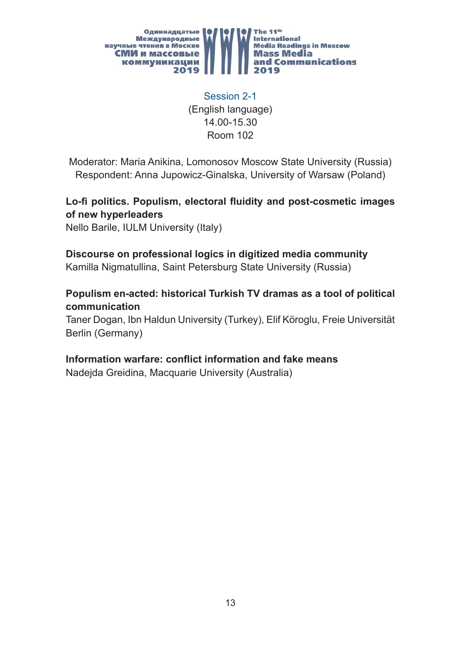

Session 2-1 (English language) 14.00-15.30 Room 102

Moderator: Maria Anikina, Lomonosov Moscow State University (Russia) Respondent: Anna Jupowicz-Ginalska, University of Warsaw (Poland)

Lo-fi politics. Populism, electoral fluidity and post-cosmetic images **of new hyperleaders**

Nello Barile, IULM University (Italy)

## **Discourse on professional logics in digitized media community**

Kamilla Nigmatullina, Saint Petersburg State University (Russia)

#### **Populism en-acted: historical Turkish TV dramas as a tool of political communication**

Taner Dogan, Ibn Haldun University (Turkey), Elif Köroglu, Freie Universität Berlin (Germany)

#### **Information warfare: conflict information and fake means**

Nadejda Greidina, Macquarie University (Australia)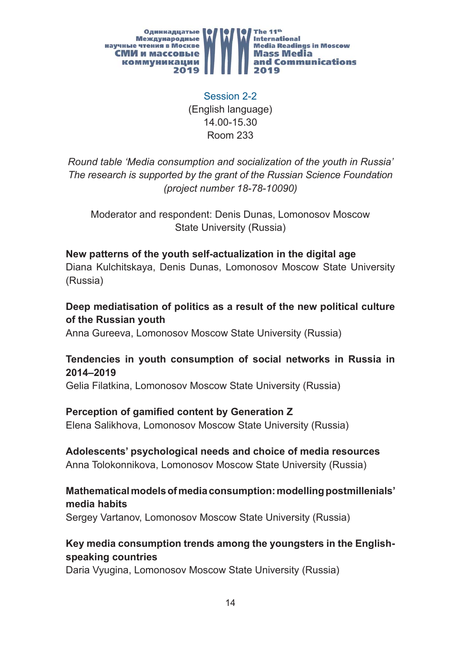

Session 2-2 (English language) 14.00-15.30 Room 233

*Round table 'Media consumption and socialization of the youth in Russia' The research is supported by the grant of the Russian Science Foundation (project number 18-78-10090)*

Moderator and respondent: Denis Dunas, Lomonosov Moscow State University (Russia)

# **New patterns of the youth self-actualization in the digital age**

Diana Kulchitskaya, Denis Dunas, Lomonosov Moscow State University (Russia)

#### **Deep mediatisation of politics as a result of the new political culture of the Russian youth**

Anna Gureeva, Lomonosov Moscow State University (Russia)

#### **Tendencies in youth consumption of social networks in Russia in 2014–2019**

Gelia Filatkina, Lomonosov Moscow State University (Russia)

## **Perception of gamified content by Generation Z**

Elena Salikhova, Lomonosov Moscow State University (Russia)

#### **Adolescents' psychological needs and choice of media resources**

Anna Tolokonnikova, Lomonosov Moscow State University (Russia)

#### **Mathematical models of media consumption: modelling postmillenials' media habits**

Sergey Vartanov, Lomonosov Moscow State University (Russia)

## **Key media consumption trends among the youngsters in the Englishspeaking countries**

Daria Vyugina, Lomonosov Moscow State University (Russia)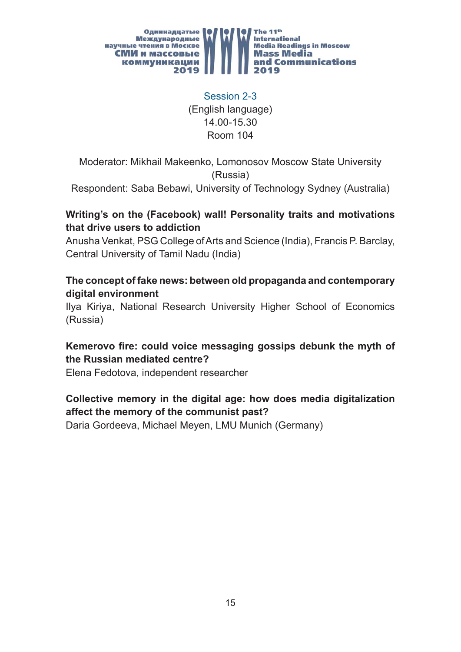

Session 2-3 (English language) 14.00-15.30 Room 104

Moderator: Mikhail Makeenko, Lomonosov Moscow State University (Russia)

Respondent: Saba Bebawi, University of Technology Sydney (Australia)

#### **Writing's on the (Facebook) wall! Personality traits and motivations that drive users to addiction**

Anusha Venkat, PSG College of Arts and Science (India), Francis P. Barclay, Central University of Tamil Nadu (India)

#### **The concept of fake news: between old propaganda and contemporary digital environment**

Ilya Kiriya, National Research University Higher School of Economics (Russia)

#### Kemerovo fire: could voice messaging gossips debunk the myth of **the Russian mediated centre?**

Elena Fedotova, independent researcher

#### **Collective memory in the digital age: how does media digitalization affect the memory of the communist past?**

Daria Gordeeva, Michael Meyen, LMU Munich (Germany)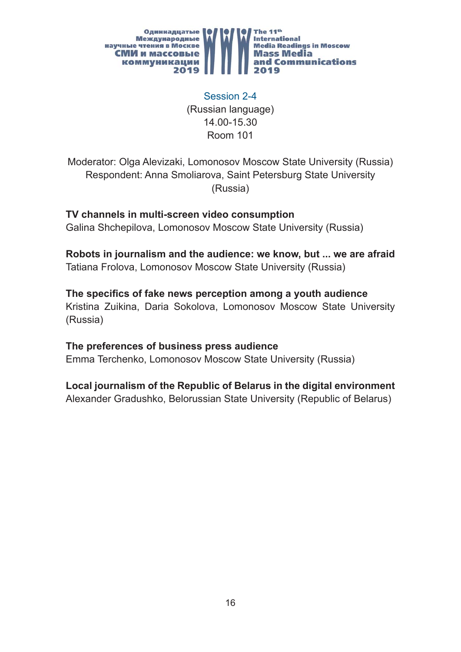

Session 2-4 (Russian language) 14.00-15.30 Room 101

Moderator: Olga Alevizaki, Lomonosov Moscow State University (Russia) Respondent: Anna Smoliarova, Saint Petersburg State University (Russia)

**TV channels in multi-screen video consumption** Galina Shchepilova, Lomonosov Moscow State University (Russia)

**Robots in journalism and the audience: we know, but ... we are afraid** Tatiana Frolova, Lomonosov Moscow State University (Russia)

The specifics of fake news perception among a youth audience Kristina Zuikina, Daria Sokolova, Lomonosov Moscow State University (Russia)

**The preferences of business press audience** 

Emma Terchenko, Lomonosov Moscow State University (Russia)

**Local journalism of the Republic of Belarus in the digital environment**

Alexander Gradushko, Belorussian State University (Republic of Belarus)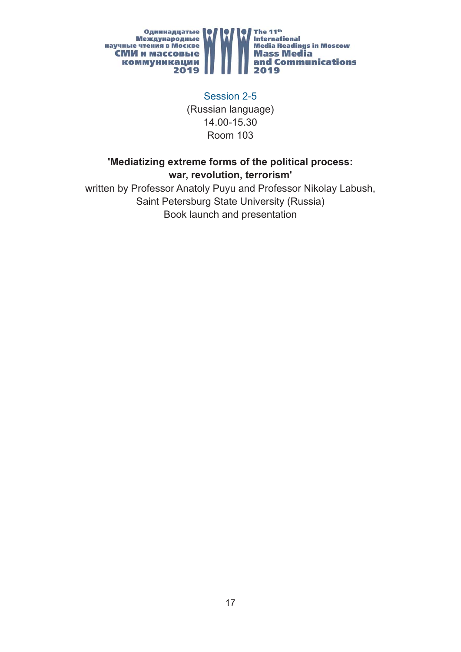

Session 2-5 (Russian language) 14.00-15.30 Room 103

#### **'Mediatizing extreme forms of the political process: war, revolution, terrorism'**

written by Professor Anatoly Puyu and Professor Nikolay Labush, Saint Petersburg State University (Russia) Book launch and presentation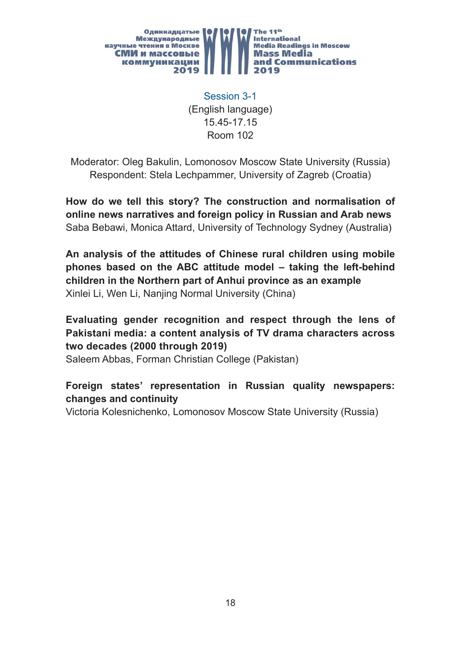

Session 3-1 (English language) 15.45-17.15 Room 102

Moderator: Oleg Bakulin, Lomonosov Moscow State University (Russia) Respondent: Stela Lechpammer, University of Zagreb (Croatia)

**How do we tell this story? The construction and normalisation of online news narratives and foreign policy in Russian and Arab news** Saba Bebawi, Monica Attard, University of Technology Sydney (Australia)

**An analysis of the attitudes of Chinese rural children using mobile phones based on the ABC attitude model – taking the left-behind children in the Northern part of Anhui province as an example** Xinlei Li, Wen Li, Nanjing Normal University (China)

**Evaluating gender recognition and respect through the lens of Pakistani media: a content analysis of TV drama characters across two decades (2000 through 2019)**

Saleem Abbas, Forman Christian College (Pakistan)

#### **Foreign states' representation in Russian quality newspapers: changes and continuity**

Victoria Kolesnichenko, Lomonosov Moscow State University (Russia)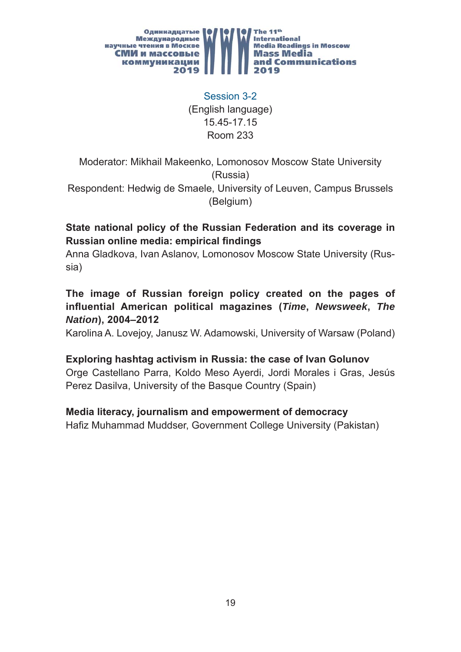

Session 3-2 (English language) 15.45-17.15 Room 233

Moderator: Mikhail Makeenko, Lomonosov Moscow State University (Russia)

Respondent: Hedwig de Smaele, University of Leuven, Campus Brussels (Belgium)

#### **State national policy of the Russian Federation and its coverage in Russian online media: empirical findings**

Anna Gladkova, Ivan Aslanov, Lomonosov Moscow State University (Russia)

#### **The image of Russian foreign policy created on the pages of infl uential American political magazines (***Time***,** *Newsweek***,** *The Nation***), 2004–2012**

Karolina A. Lovejoy, Janusz W. Adamowski, University of Warsaw (Poland)

#### **Exploring hashtag activism in Russia: the case of Ivan Golunov**

Orge Castellano Parra, Koldo Meso Ayerdi, Jordi Morales i Gras, Jesús Perez Dasilva, University of the Basque Country (Spain)

#### **Media literacy, journalism and empowerment of democracy**

Hafiz Muhammad Muddser, Government College University (Pakistan)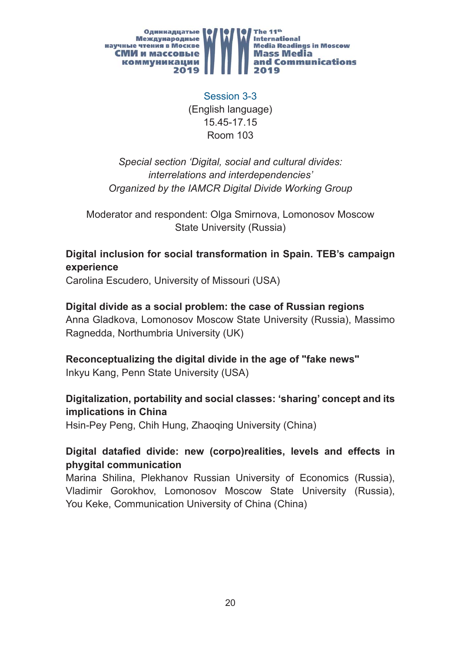

Session 3-3 (English language) 15.45-17.15 Room 103

*Special section 'Digital, social and cultural divides: interrelations and interdependencies' Organized by the IAMCR Digital Divide Working Group*

Moderator and respondent: Olga Smirnova, Lomonosov Moscow State University (Russia)

#### **Digital inclusion for social transformation in Spain. TEB's campaign experience**

Carolina Escudero, University of Missouri (USA)

#### **Digital divide as a social problem: the case of Russian regions**

Anna Gladkova, Lomonosov Moscow State University (Russia), Massimo Ragnedda, Northumbria University (UK)

#### **Reconceptualizing the digital divide in the age of "fake news"**

Inkyu Kang, Penn State University (USA)

#### **Digitalization, portability and social classes: 'sharing' concept and its implications in China**

Hsin-Pey Peng, Chih Hung, Zhaoqing University (China)

#### Digital datafied divide: new (corpo)realities, levels and effects in **phygital communication**

Marina Shilina, Plekhanov Russian University of Economics (Russia), Vladimir Gorokhov, Lomonosov Moscow State University (Russia), You Keke, Communication University of China (China)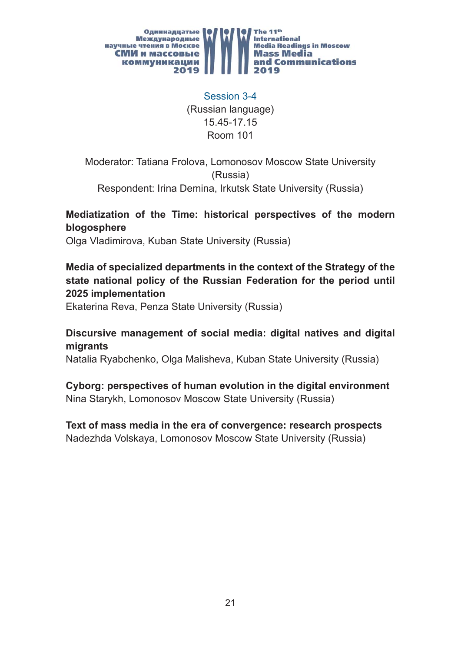

Session 3-4 (Russian language) 15.45-17.15 Room 101

Moderator: Tatiana Frolova, Lomonosov Moscow State University (Russia) Respondent: Irina Demina, Irkutsk State University (Russia)

#### **Mediatization of the Time: historical perspectives of the modern blogosphere**

Olga Vladimirova, Kuban State University (Russia)

#### **Media of specialized departments in the context of the Strategy of the state national policy of the Russian Federation for the period until 2025 implementation**

Ekaterina Reva, Penza State University (Russia)

#### **Discursive management of social media: digital natives and digital migrants**

Natalia Ryabchenko, Olga Malisheva, Kuban State University (Russia)

## **Cyborg: perspectives of human evolution in the digital environment**

Nina Starykh, Lomonosov Moscow State University (Russia)

#### **Text of mass media in the era of convergence: research prospects** Nadezhda Volskaya, Lomonosov Moscow State University (Russia)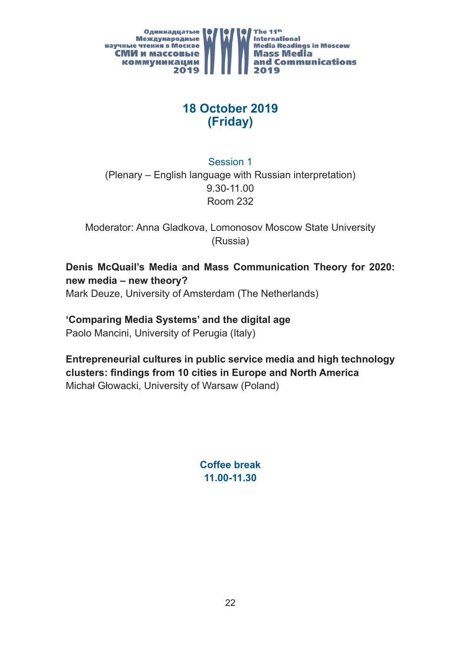

## **18 October 2019 (Friday)**

Session 1 (Plenary – English language with Russian interpretation) 9.30-11.00 Room 232

Moderator: Anna Gladkova, Lomonosov Moscow State University (Russia)

**Denis McQuail's Media and Mass Communication Theory for 2020: new media – new theory?** Mark Deuze, University of Amsterdam (The Netherlands)

**'Comparing Media Systems' and the digital age**

Paolo Mancini, University of Perugia (Italy)

**Entrepreneurial cultures in public service media and high technology clusters: fi ndings from 10 cities in Europe and North America** Michał Głowacki, University of Warsaw (Poland)

> **Coffee break 11.00-11.30**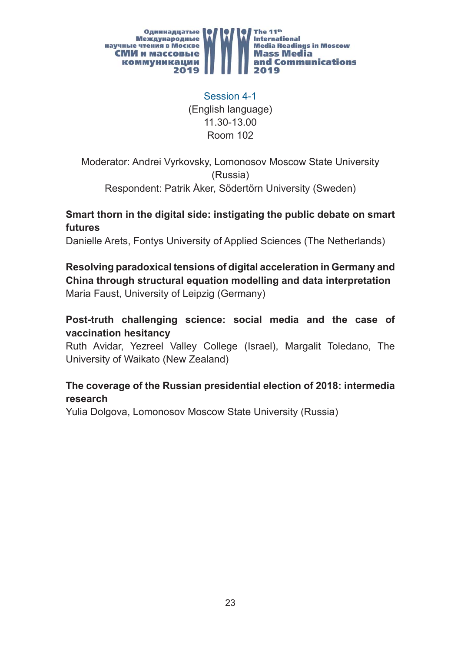

Session 4-1 (English language) 11.30-13.00 Room 102

Moderator: Andrei Vyrkovsky, Lomonosov Moscow State University (Russia) Respondent: Patrik Åker, Södertörn University (Sweden)

#### **Smart thorn in the digital side: instigating the public debate on smart futures**

Danielle Arets, Fontys University of Applied Sciences (The Netherlands)

**Resolving paradoxical tensions of digital acceleration in Germany and China through structural equation modelling and data interpretation** Maria Faust, University of Leipzig (Germany)

#### **Post-truth challenging science: social media and the case of vaccination hesitancy**

Ruth Avidar, Yezreel Valley College (Israel), Margalit Toledano, The University of Waikato (New Zealand)

#### **The coverage of the Russian presidential election of 2018: intermedia research**

Yulia Dolgova, Lomonosov Moscow State University (Russia)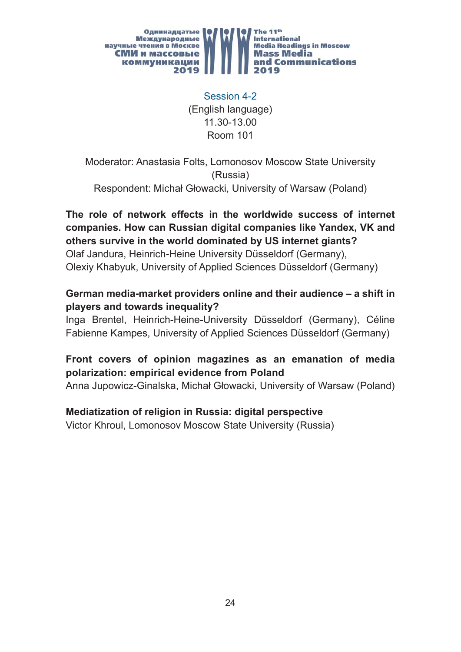

Session 4-2 (English language) 11.30-13.00 Room 101

Moderator: Anastasia Folts, Lomonosov Moscow State University (Russia) Respondent: Michał Głowacki, University of Warsaw (Poland)

**The role of network effects in the worldwide success of internet companies. How can Russian digital companies like Yandex, VK and others survive in the world dominated by US internet giants?** Olaf Jandura, Heinrich-Heine University Düsseldorf (Germany), Olexiy Khabyuk, University of Applied Sciences Düsseldorf (Germany)

#### **German media-market providers online and their audience – a shift in players and towards inequality?**

Inga Brentel, Heinrich-Heine-University Düsseldorf (Germany), Céline Fabienne Kampes, University of Applied Sciences Düsseldorf (Germany)

#### **Front covers of opinion magazines as an emanation of media polarization: empirical evidence from Poland**

Anna Jupowicz-Ginalska, Michał Głowacki, University of Warsaw (Poland)

#### **Mediatization of religion in Russia: digital perspective**

Victor Khroul, Lomonosov Moscow State University (Russia)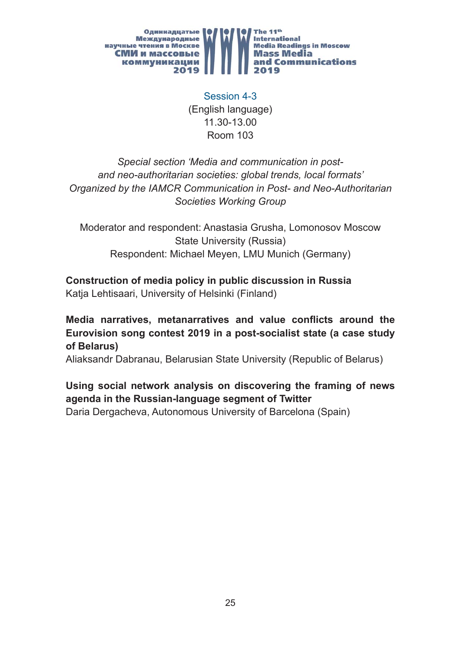

Session 4-3 (English language) 11.30-13.00 Room 103

*Special section 'Media and communication in postand neo-authoritarian societies: global trends, local formats' Organized by the IAMCR Communication in Post- and Neo-Authoritarian Societies Working Group*

Moderator and respondent: Anastasia Grusha, Lomonosov Moscow State University (Russia) Respondent: Michael Meyen, LMU Munich (Germany)

#### **Construction of media policy in public discussion in Russia** Katja Lehtisaari, University of Helsinki (Finland)

**Media narratives, metanarratives and value conflicts around the Eurovision song contest 2019 in a post-socialist state (a case study of Belarus)**

Aliaksandr Dabranau, Belarusian State University (Republic of Belarus)

## **Using social network analysis on discovering the framing of news agenda in the Russian-language segment of Twitter**

Daria Dergacheva, Autonomous University of Barcelona (Spain)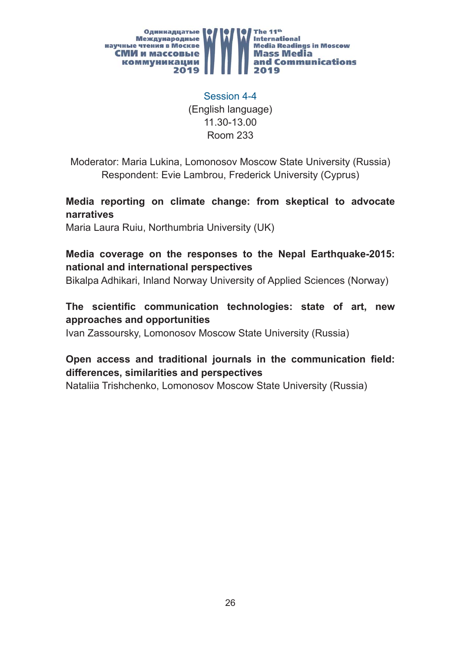

Session 4-4 (English language) 11.30-13.00 Room 233

Moderator: Maria Lukina, Lomonosov Moscow State University (Russia) Respondent: Evie Lambrou, Frederick University (Cyprus)

**Media reporting on climate change: from skeptical to advocate narratives**

Maria Laura Ruiu, Northumbria University (UK)

#### **Media coverage on the responses to the Nepal Earthquake-2015: national and international perspectives**

Bikalpa Adhikari, Inland Norway University of Applied Sciences (Norway)

#### The scientific communication technologies: state of art, new **approaches and opportunities**

Ivan Zassoursky, Lomonosov Moscow State University (Russia)

#### **Open access and traditional journals in the communication field: differences, similarities and perspectives**

Nataliia Trishchenko, Lomonosov Moscow State University (Russia)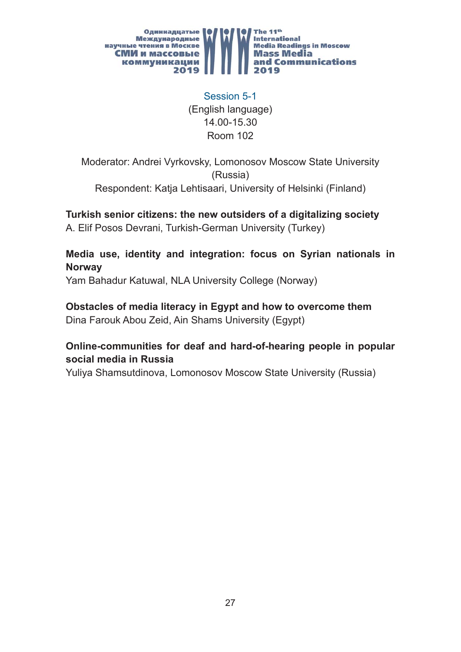

Session 5-1 (English language) 14.00-15.30 Room 102

Moderator: Andrei Vyrkovsky, Lomonosov Moscow State University (Russia) Respondent: Katja Lehtisaari, University of Helsinki (Finland)

**Turkish senior citizens: the new outsiders of a digitalizing society** A. Elif Posos Devrani, Turkish-German University (Turkey)

**Media use, identity and integration: focus on Syrian nationals in Norway**

Yam Bahadur Katuwal, NLA University College (Norway)

**Obstacles of media literacy in Egypt and how to overcome them** Dina Farouk Abou Zeid, Ain Shams University (Egypt)

#### **Online-communities for deaf and hard-of-hearing people in popular social media in Russia**

Yuliya Shamsutdinova, Lomonosov Moscow State University (Russia)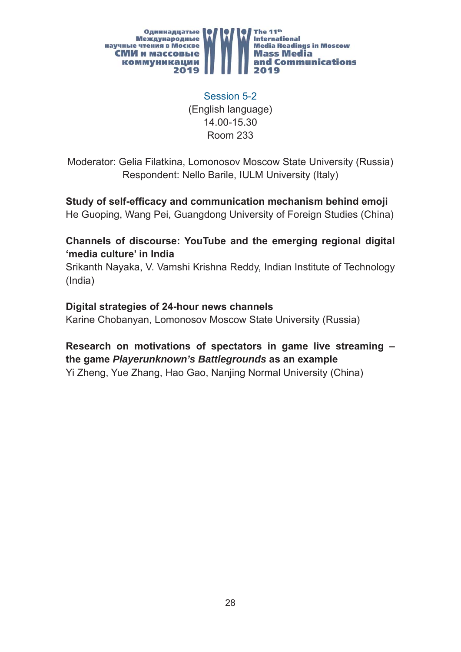

Session 5-2 (English language) 14.00-15.30 Room 233

Moderator: Gelia Filatkina, Lomonosov Moscow State University (Russia) Respondent: Nello Barile, IULM University (Italy)

**Study of self-efficacy and communication mechanism behind emoji** He Guoping, Wang Pei, Guangdong University of Foreign Studies (China)

#### **Channels of discourse: YouTube and the emerging regional digital 'media culture' in India**

Srikanth Nayaka, V. Vamshi Krishna Reddy, Indian Institute of Technology (India)

#### **Digital strategies of 24-hour news channels**

Karine Chobanyan, Lomonosov Moscow State University (Russia)

#### **Research on motivations of spectators in game live streaming – the game** *Playerunknown's Battlegrounds* **as an example**

Yi Zheng, Yue Zhang, Hao Gao, Nanjing Normal University (China)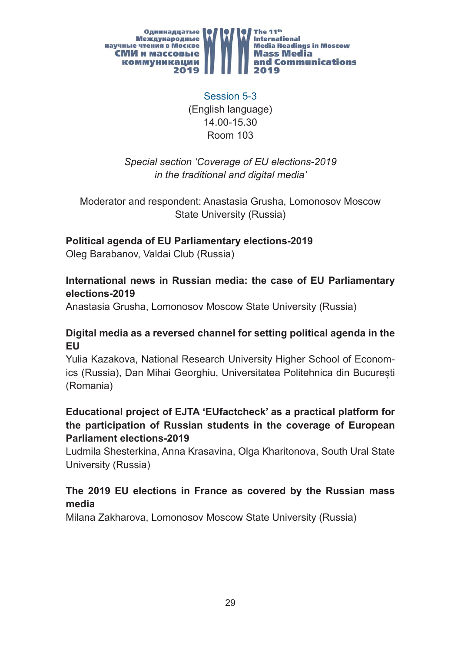

Session 5-3 (English language) 14.00-15.30 Room 103

*Special section 'Coverage of EU elections-2019 in the traditional and digital media'*

Moderator and respondent: Anastasia Grusha, Lomonosov Moscow State University (Russia)

#### **Political agenda of EU Parliamentary elections-2019**

Oleg Barabanov, Valdai Club (Russia)

#### **International news in Russian media: the case of EU Parliamentary elections-2019**

Anastasia Grusha, Lomonosov Moscow State University (Russia)

#### **Digital media as a reversed channel for setting political agenda in the EU**

Yulia Kazakova, National Research University Higher School of Economics (Russia), Dan Mihai Georghiu, Universitatea Politehnica din București (Romania)

#### **Educational project of EJTA 'EUfactcheck' as a practical platform for the participation of Russian students in the coverage of European Parliament elections-2019**

Ludmila Shesterkina, Anna Krasavina, Olga Kharitonova, South Ural State University (Russia)

#### **The 2019 EU elections in France as covered by the Russian mass media**

Milana Zakharova, Lomonosov Moscow State University (Russia)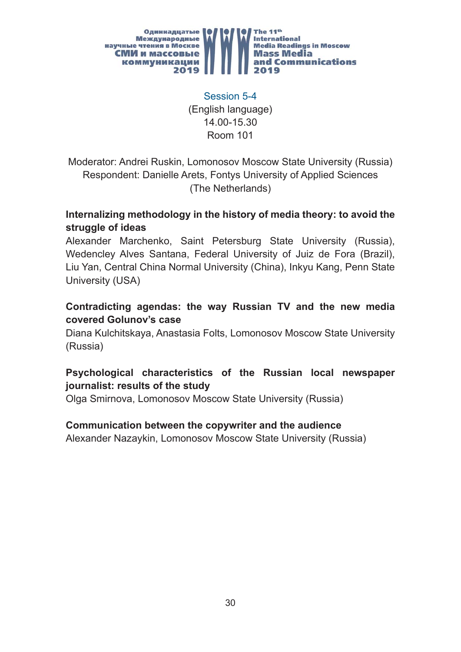

Session 5-4 (English language) 14.00-15.30 Room 101

Moderator: Andrei Ruskin, Lomonosov Moscow State University (Russia) Respondent: Danielle Arets, Fontys University of Applied Sciences (The Netherlands)

#### **Internalizing methodology in the history of media theory: to avoid the struggle of ideas**

Alexander Marchenko, Saint Petersburg State University (Russia), Wedencley Alves Santana, Federal University of Juiz de Fora (Brazil), Liu Yan, Central China Normal University (China), Inkyu Kang, Penn State University (USA)

#### **Contradicting agendas: the way Russian TV and the new media covered Golunov's case**

Diana Kulchitskaya, Anastasia Folts, Lomonosov Moscow State University (Russia)

#### **Psychological characteristics of the Russian local newspaper journalist: results of the study**

Olga Smirnova, Lomonosov Moscow State University (Russia)

#### **Communication between the copywriter and the audience**

Alexander Nazaykin, Lomonosov Moscow State University (Russia)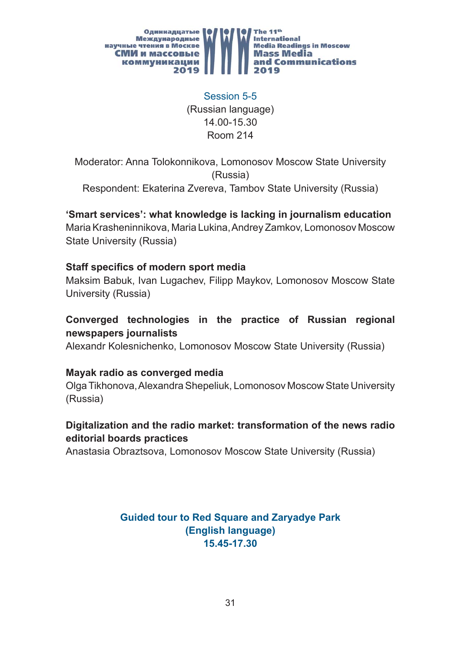

Session 5-5 (Russian language) 14.00-15.30 Room 214

Moderator: Anna Tolokonnikova, Lomonosov Moscow State University (Russia) Respondent: Ekaterina Zvereva, Tambov State University (Russia)

**'Smart services': what knowledge is lacking in journalism education**

Maria Krasheninnikova, Maria Lukina, Andrey Zamkov, Lomonosov Moscow State University (Russia)

#### **Staff specifics of modern sport media**

Maksim Babuk, Ivan Lugachev, Filipp Maykov, Lomonosov Moscow State University (Russia)

#### **Converged technologies in the practice of Russian regional newspapers journalists**

Alexandr Kolesnichenko, Lomonosov Moscow State University (Russia)

#### **Mayak radio as converged media**

Olga Tikhonova, Alexandra Shepeliuk, Lomonosov Moscow State University (Russia)

#### **Digitalization and the radio market: transformation of the news radio editorial boards practices**

Anastasia Obraztsova, Lomonosov Moscow State University (Russia)

**Guided tour to Red Square and Zaryadye Park (English language) 15.45-17.30**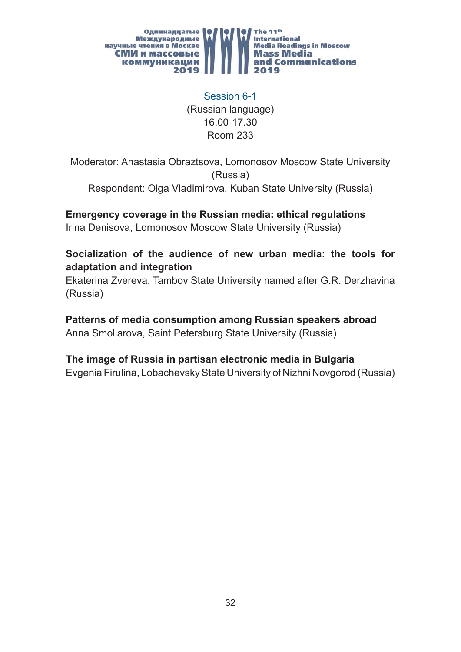

Session 6-1 (Russian language) 16.00-17.30 Room 233

Moderator: Anastasia Obraztsova, Lomonosov Moscow State University (Russia) Respondent: Olga Vladimirova, Kuban State University (Russia)

**Emergency coverage in the Russian media: ethical regulations** Irina Denisova, Lomonosov Moscow State University (Russia)

#### **Socialization of the audience of new urban media: the tools for adaptation and integration**

Ekaterina Zvereva, Tambov State University named after G.R. Derzhavina (Russia)

## **Patterns of media consumption among Russian speakers abroad**

Anna Smoliarova, Saint Petersburg State University (Russia)

#### **The image of Russia in partisan electronic media in Bulgaria**

Evgenia Firulina, Lobachevsky State University of Nizhni Novgorod (Russia)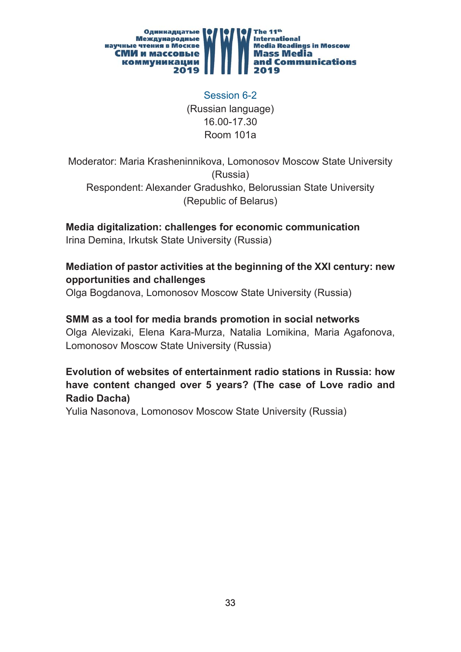

Session 6-2 (Russian language) 16.00-17.30 Room 101a

Moderator: Maria Krasheninnikova, Lomonosov Moscow State University (Russia) Respondent: Alexander Gradushko, Belorussian State University (Republic of Belarus)

**Media digitalization: challenges for economic communication**

Irina Demina, Irkutsk State University (Russia)

#### **Mediation of pastor activities at the beginning of the XXI century: new opportunities and challenges**

Olga Bogdanova, Lomonosov Moscow State University (Russia)

#### **SMM as a tool for media brands promotion in social networks**

Olga Alevizaki, Elena Kara-Murza, Natalia Lomikina, Maria Agafonova, Lomonosov Moscow State University (Russia)

#### **Evolution of websites of entertainment radio stations in Russia: how have content changed over 5 years? (The case of Love radio and Radio Dacha)**

Yulia Nasonova, Lomonosov Moscow State University (Russia)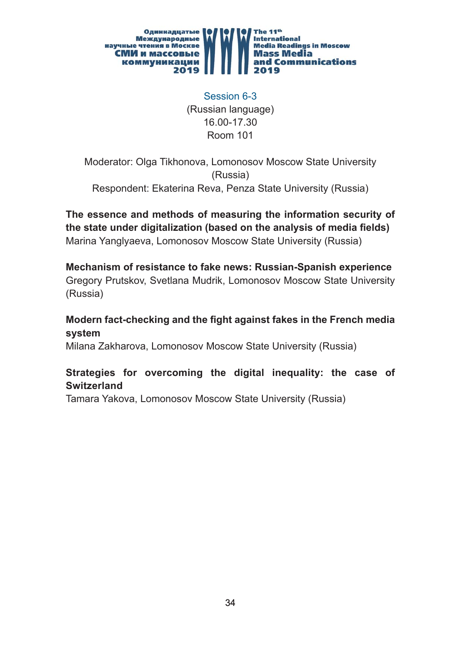

Session 6-3 (Russian language) 16.00-17.30 Room 101

Moderator: Olga Tikhonova, Lomonosov Moscow State University (Russia) Respondent: Ekaterina Reva, Penza State University (Russia)

**The essence and methods of measuring the information security of**  the state under digitalization (based on the analysis of media fields) Marina Yanglyaeva, Lomonosov Moscow State University (Russia)

**Mechanism of resistance to fake news: Russian-Spanish experience** Gregory Prutskov, Svetlana Mudrik, Lomonosov Moscow State University (Russia)

**Modern fact-checking and the fight against fakes in the French media system** 

Milana Zakharova, Lomonosov Moscow State University (Russia)

#### **Strategies for overcoming the digital inequality: the case of Switzerland**

Tamara Yakova, Lomonosov Moscow State University (Russia)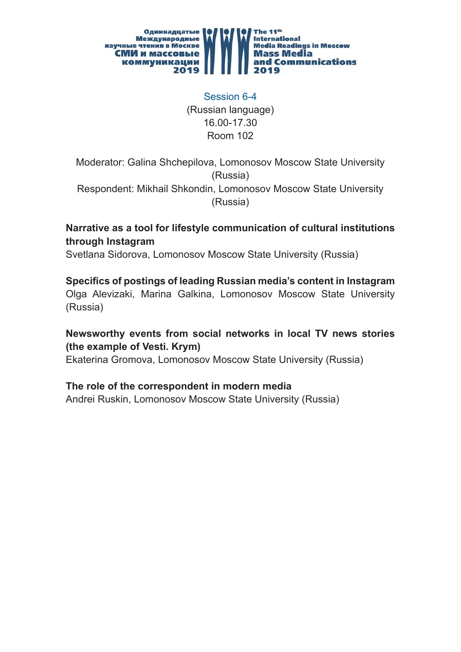

Session 6-4 (Russian language) 16.00-17.30 Room 102

Moderator: Galina Shchepilova, Lomonosov Moscow State University (Russia)

Respondent: Mikhail Shkondin, Lomonosov Moscow State University (Russia)

#### **Narrative as a tool for lifestyle communication of cultural institutions through Instagram**

Svetlana Sidorova, Lomonosov Moscow State University (Russia)

**Specifi cs of postings of leading Russian media's content in Instagram**  Olga Alevizaki, Marina Galkina, Lomonosov Moscow State University (Russia)

#### **Newsworthy events from social networks in local TV news stories (the example of Vesti. Krym)**

Ekaterina Gromova, Lomonosov Moscow State University (Russia)

#### **The role of the correspondent in modern media**

Andrei Ruskin, Lomonosov Moscow State University (Russia)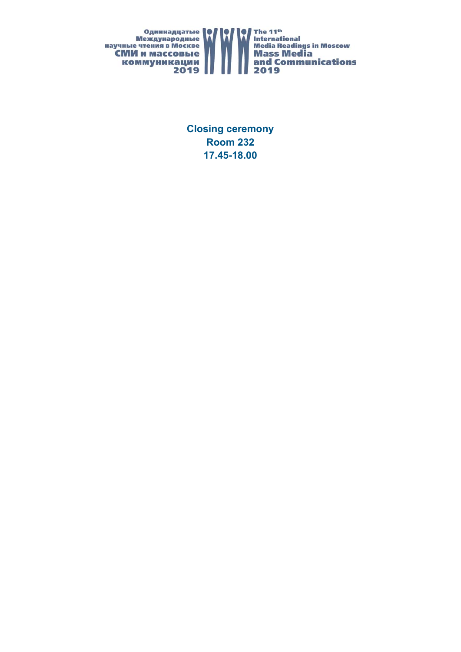

**Closing ceremony Room 232 17.45-18.00**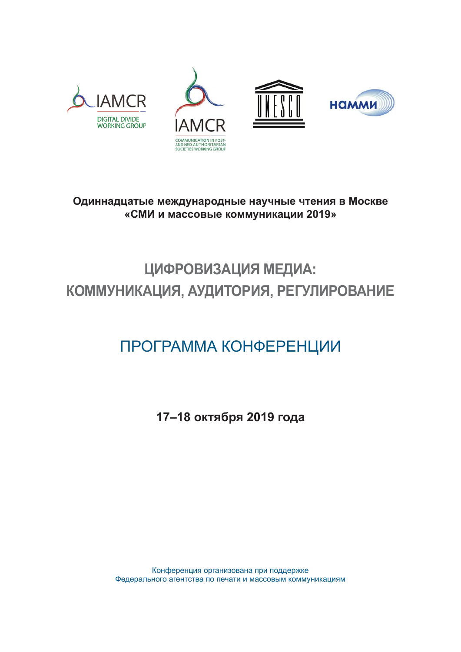







# **Одиннадцатые международные научные чтения в Москве «СМИ и массовые коммуникации 2019»**

# **ЦИФРОВИЗАЦИЯ МЕДИА: КОММУНИКАЦИЯ, АУДИТОРИЯ, РЕГУЛИРОВАНИЕ**

# ПРОГРАММА КОНФЕРЕНЦИИ

**17–18 октября 2019 года**

Конференция организована при поддержке Федерального агентства по печати и массовым коммуникациям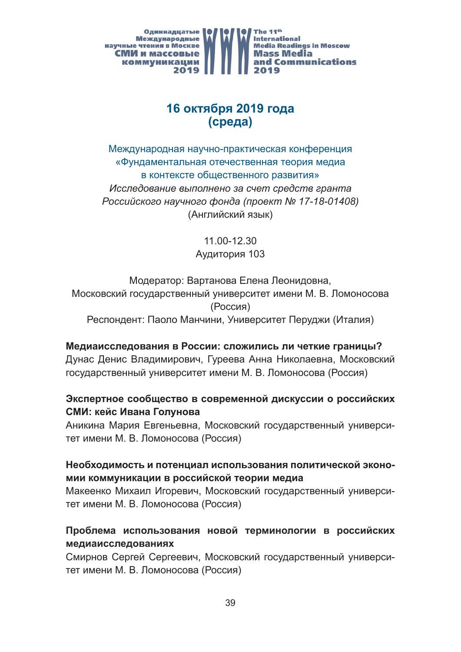

# **16 октября 2019 года (среда)**

Международная научно-практическая конференция «Фундаментальная отечественная теория медиа в контексте общественного развития» *Исследование выполнено за счет средств гранта Российского научного фонда (проект № 17-18-01408)*  (Английский язык)

> 11.00-12.30 Аудитория 103

Модератор: Вартанова Елена Леонидовна, Московский государственный университет имени М. В. Ломоносова (Россия) Респондент: Паоло Манчини, Университет Перуджи (Италия)

#### **Медиаисследования в России: сложились ли четкие границы?**

Дунас Денис Владимирович, Гуреева Анна Николаевна, Московский государственный университет имени М. В. Ломоносова (Россия)

#### **Экспертное сообщество в современной дискуссии о российских СМИ: кейс Ивана Голунова**

Аникина Мария Евгеньевна, Московский государственный университет имени М. В. Ломоносова (Россия)

#### **Необходимость и потенциал использования политической экономии коммуникации в российской теории медиа**

Макеенко Михаил Игоревич, Московский государственный университет имени М. В. Ломоносова (Россия)

#### **Проблема использования новой терминологии в российских медиаисследованиях**

Смирнов Сергей Сергеевич, Московский государственный университет имени М. В. Ломоносова (Россия)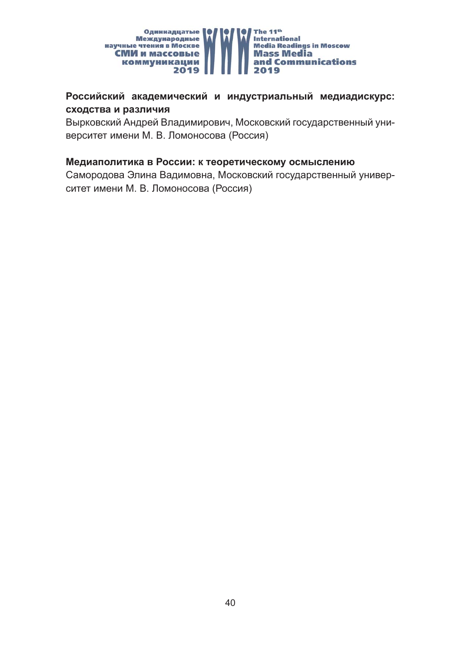

#### **Российский академический и индустриальный медиадискурс: сходства и различия**

Вырковский Андрей Владимирович, Московский государственный университет имени М. В. Ломоносова (Россия)

#### **Медиаполитика в России: к теоретическому осмыслению**

Самородова Элина Вадимовна, Московский государственный университет имени М. В. Ломоносова (Россия)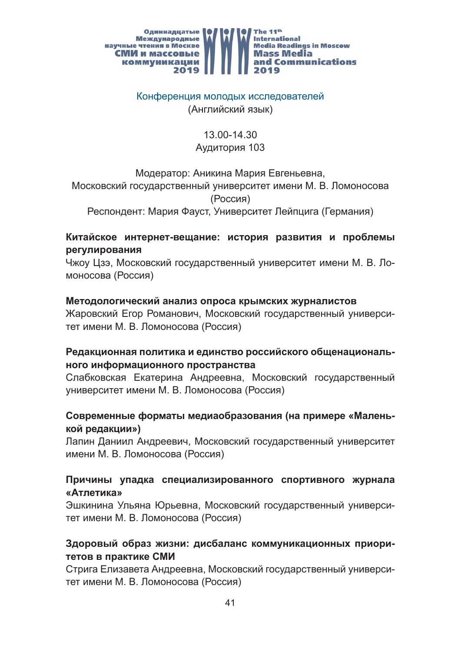

#### Конференция молодых исследователей (Английский язык)

# 13.00-14.30 Аудитория 103

Модератор: Аникина Мария Евгеньевна,

Московский государственный университет имени М. В. Ломоносова (Россия)

Респондент: Мария Фауст, Университет Лейпцига (Германия)

#### **Китайское интернет-вещание: история развития и проблемы регулирования**

Чжоу Цзэ, Московский государственный университет имени М. В. Ломоносова (Россия)

#### **Методологический анализ опроса крымских журналистов**

Жаровский Егор Романович, Московский государственный университет имени М. В. Ломоносова (Россия)

#### **Редакционная политика и единство российского общенационального информационного пространства**

Слабковская Екатерина Андреевна, Московский государственный университет имени М. В. Ломоносова (Россия)

#### **Современные форматы медиаобразования (на примере «Маленькой редакции»)**

Лапин Даниил Андреевич, Московский государственный университет имени М. В. Ломоносова (Россия)

#### **Причины упадка специализированного спортивного журнала «Атлетика»**

Эшкинина Ульяна Юрьевна, Московский государственный университет имени М. В. Ломоносова (Россия)

#### **Здоровый образ жизни: дисбаланс коммуникационных приоритетов в практике СМИ**

Стрига Елизавета Андреевна, Московский государственный университет имени М. В. Ломоносова (Россия)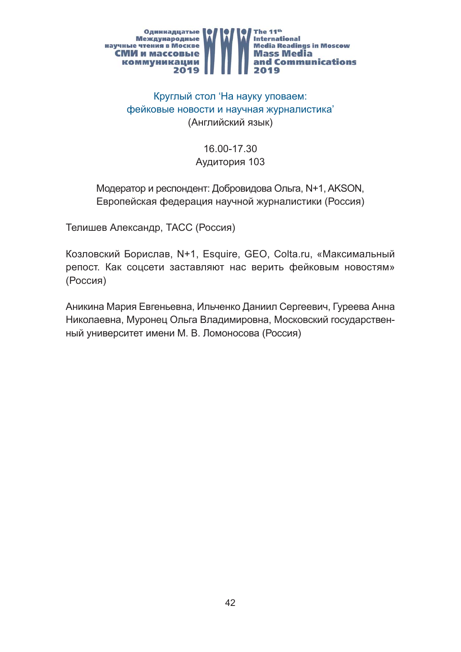

# Круглый стол 'На науку уповаем: фейковые новости и научная журналистика' (Английский язык)

# 16.00-17.30 Аудитория 103

## Модератор и респондент: Добровидова Ольга, N+1, AKSON, Европейская федерация научной журналистики (Россия)

Телишев Александр, ТАСС (Россия)

Козловский Борислав, N+1, Esquirе, GEO, Colta.ru, «Максимальный репост. Как соцсети заставляют нас верить фейковым новостям» (Россия)

Аникина Мария Евгеньевна, Ильченко Даниил Сергеевич, Гуреева Анна Николаевна, Муронец Ольга Владимировна, Московский государственный университет имени М. В. Ломоносова (Россия)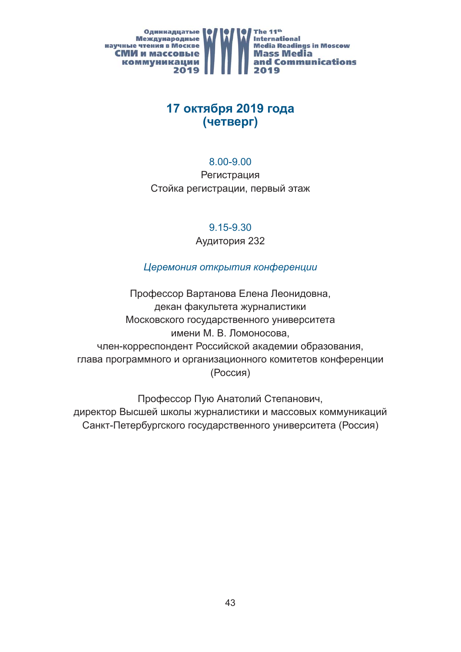

# **17 октября 2019 года (четверг)**

#### 8.00-9.00

Регистрация Стойка регистрации, первый этаж

9.15-9.30

Аудитория 232

# *Церемония открытия конференции*

Профессор Вартанова Елена Леонидовна, декан факультета журналистики Московского государственного университета имени М. В. Ломоносова, член-корреспондент Российской академии образования, глава программного и организационного комитетов конференции (Россия)

Профессор Пую Анатолий Степанович, директор Высшей школы журналистики и массовых коммуникаций Санкт-Петербургского государственного университета (Россия)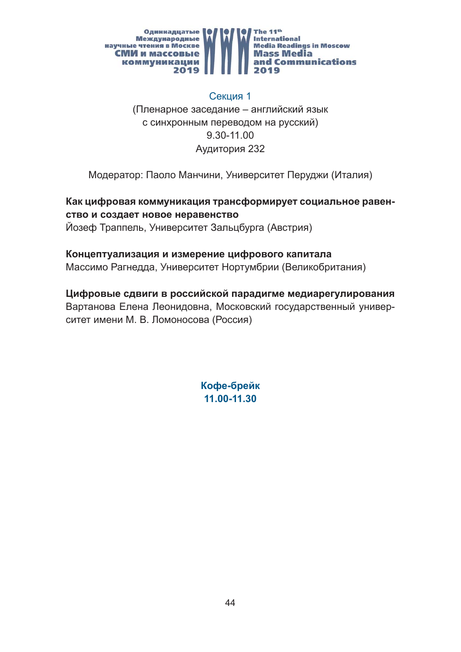

#### Секция 1

(Пленарное заседание – английский язык с синхронным переводом на русский) 9.30-11.00 Аудитория 232

Модератор: Паоло Манчини, Университет Перуджи (Италия)

**Как цифровая коммуникация трансформирует социальное равенство и создает новое неравенство** Йозеф Траппель, Университет Зальцбурга (Австрия)

#### **Концептуализация и измерение цифрового капитала**

Массимо Рагнедда, Университет Нортумбрии ( Великобритания)

**Цифровые сдвиги в российской парадигме медиарегулирования** Вартанова Елена Леонидовна, Московский государственный университет имени М. В. Ломоносова (Россия)

> **Кофе-брейк 11.00-11.30**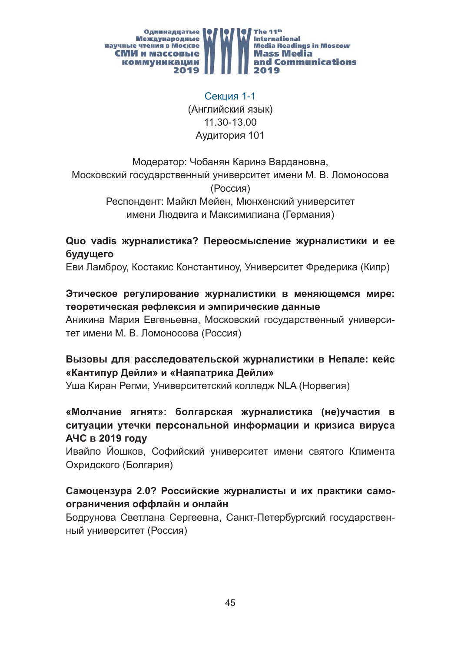

Секция 1-1 (Английский язык) 11.30-13.00 Аудитория 101

Модератор: Чобанян Каринэ Вардановна, Московский государственный университет имени М. В. Ломоносова (Россия) Респондент: Майкл Мейен, Мюнхенский университет имени Людвига и Максимилиана (Германия)

## **Quo vadis журналистика? Переосмысление журналистики и ее будущего**

Еви Ламброу, Костакис Константиноу, Университет Фредерика (Кипр)

#### **Этическое регулирование журналистики в меняющемся мире: теоретическая рефлексия и эмпирические данные**

Аникина Мария Евгеньевна, Московский государственный университет имени М. В. Ломоносова (Россия)

# **Вызовы для расследовательской журналистики в Непале: кейс «Кантипур Дейли» и «Наяпатрика Дейли»**

Уша Киран Регми, Университетский колледж NLA (Норвегия)

## **«Молчание ягнят»: болгарская журналистика (не)участия в ситуации утечки персональной информации и кризиса вируса АЧС в 2019 году**

Ивайло Йошков, Софийский университет имени святого Климента Охридского (Болгария)

# **Самоцензура 2.0? Российские журналисты и их практики самоограничения оффлайн и онлайн**

Бодрунова Светлана Сергеевна, Санкт-Петербургский государственный университет (Россия)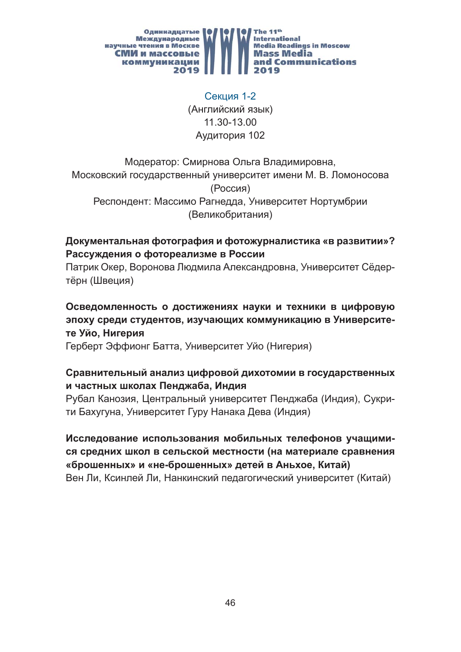

Секция 1-2 (Английский язык) 11.30-13.00 Аудитория 102

Модератор: Смирнова Ольга Владимировна, Московский государственный университет имени М. В. Ломоносова (Россия) Респондент: Массимо Рагнедда, Университет Нортумбрии (Великобритания)

## **Документальная фотография и фотожурналистика «в развитии»? Рассуждения о фотореализме в России**

Патрик Окер, Воронова Людмила Александровна, Университет Сёдертёрн (Швеция)

# **Осведомленность о достижениях науки и техники в цифровую эпоху среди студентов, изучающих коммуникацию в Университете Уйо, Нигерия**

Герберт Эффионг Батта, Университет Уйо (Нигерия)

#### **Сравнительный анализ цифровой дихотомии в государственных и частных школах Пенджаба, Индия**

Рубал Канозия, Центральный университет Пенджаба (Индия), Сукрити Бахугуна, Университет Гуру Нанака Дева (Индия)

**Исследование использования мобильных телефонов учащимися средних школ в сельской местности (на материале сравнения «брошенных» и «не-брошенных» детей в Аньхое, Китай)** Вен Ли, Ксинлей Ли, Нанкинский педагогический университет (Китай)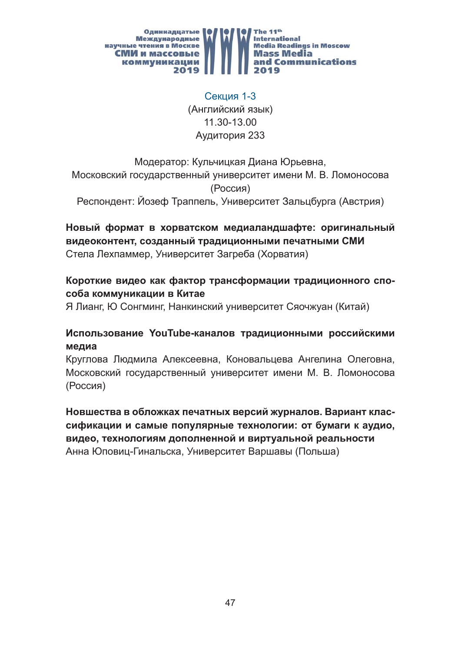

Секция 1-3 (Английский язык) 11.30-13.00 Аудитория 233

# Модератор: Кульчицкая Диана Юрьевна, Московский государственный университет имени М. В. Ломоносова (Россия)

Респондент: Йозеф Траппель, Университет Зальцбурга (Австрия)

## **Новый формат в хорватском медиаландшафте: оригинальный видеоконтент, созданный традиционными печатными СМИ** Стела Лехпаммер, Университет Загреба (Хорватия)

## **Короткие видео как фактор трансформации традиционного способа коммуникации в Китае**

Я Лианг, Ю Сонгминг, Нанкинский университет Сяочжуан (Китай)

#### **Использование YouTube-каналов традиционными российскими медиа**

Круглова Людмила Алексеевна, Коновальцева Ангелина Олеговна, Московский государственный университет имени М. В. Ломоносова (Россия)

**Новшества в обложках печатных версий журналов. Вариант классификации и самые популярные технологии: от бумаги к аудио, видео, технологиям дополненной и виртуальной реальности**  Анна Юповиц-Гинальска, Университет Варшавы (Польша)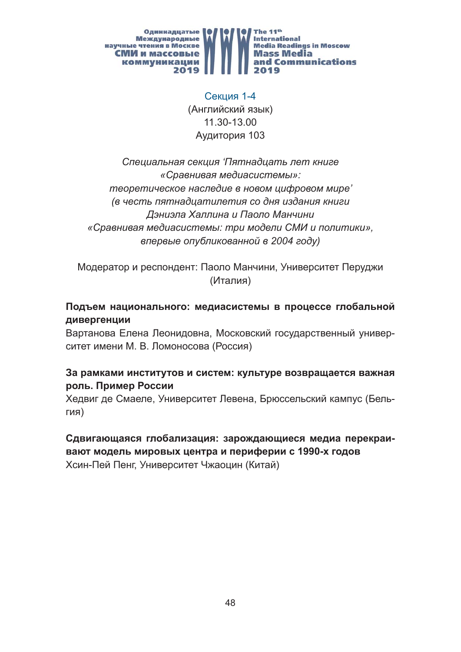

Секция 1-4 (Английский язык) 11.30-13.00 Аудитория 103

*Специальная секция 'Пятнадцать лет книге «Сравнивая медиасистемы»: теоретическое наследие в новом цифровом мире' (в честь пятнадцатилетия со дня издания книги Дэниэла Халлина и Паоло Манчини «Сравнивая медиасистемы: три модели СМИ и политики», впервые опубликованной в 2004 году)*

Модератор и респондент: Паоло Манчини, Университет Перуджи (Италия)

## **Подъем национального: медиасистемы в процессе глобальной дивергенции**

Вартанова Елена Леонидовна, Московский государственный университет имени М. В. Ломоносова (Россия)

#### **За рамками институтов и систем: культуре возвращается важная роль. Пример России**

Хедвиг де Смаеле, Университет Левена, Брюссельский кампус (Бельгия)

**Сдвигающаяся глобализация: зарождающиеся медиа перекраивают модель мировых центра и периферии с 1990-х годов** Хсин-Пей Пенг, Университет Чжаоцин (Китай)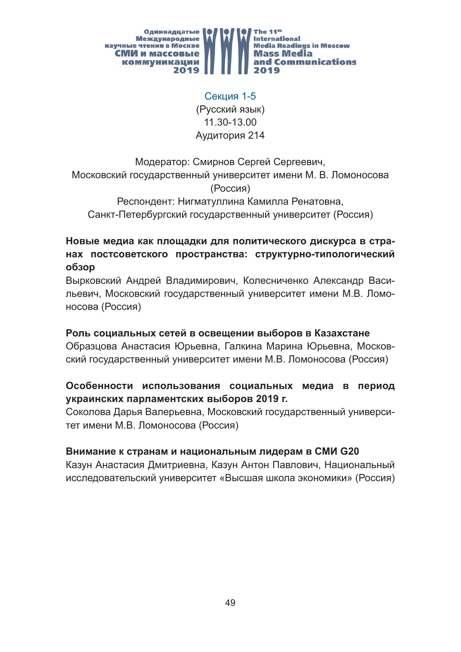

Секция 1-5 (Русский язык) 11.30-13.00 Аудитория 214

Модератор: Смирнов Сергей Сергеевич, Московский государственный университет имени М. В. Ломоносова (Россия) Респондент: Нигматуллина Камилла Ренатовна,

Санкт-Петербургский государственный университет (Россия)

# **Новые медиа как площадки для политического дискурса в странах постсоветского пространства: структурно-типологический обзор**

Вырковский Андрей Владимирович, Колесниченко Александр Васильевич, Московский государственный университет имени М.В. Ломоносова (Россия)

#### **Роль социальных сетей в освещении выборов в Казахстане**

Образцова Анастасия Юрьевна, Галкина Марина Юрьевна, Московский государственный университет имени М.В. Ломоносова (Россия)

#### **Особенности использования социальных медиа в период украинских парламентских выборов 2019 г.**

Соколова Дарья Валерьевна, Московский государственный университет имени М.В. Ломоносова (Россия)

#### **Внимание к странам и национальным лидерам в СМИ G20**

Казун Анастасия Дмитриевна, Казун Антон Павлович, Национальный исследовательский университет «Высшая школа экономики» (Россия)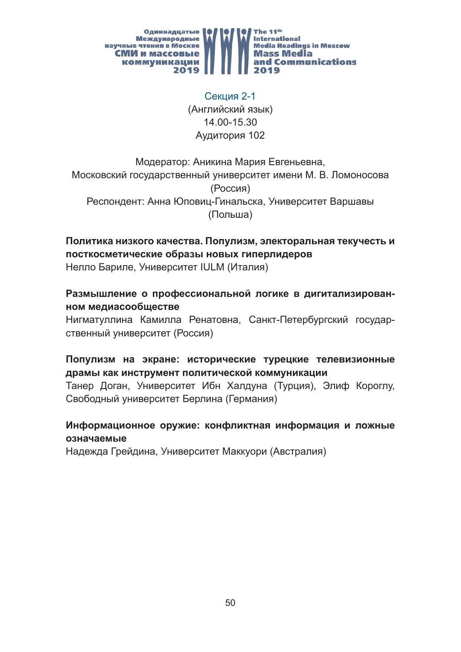

Секция 2-1 (Английский язык) 14.00-15.30 Аудитория 102

# Модератор: Аникина Мария Евгеньевна, Московский государственный университет имени М. В. Ломоносова (Россия) Респондент: Анна Юповиц-Гинальска, Университет Варшавы (Польша)

**Политика низкого качества. Популизм, электоральная текучесть и посткосметические образы новых гиперлидеров** Нелло Бариле, Университет IULM (Италия)

#### **Размышление о профессиональной логике в дигитализированном медиасообществе**

Нигматуллина Камилла Ренатовна, Санкт-Петербургский государственный университет (Россия)

#### **Популизм на экране: исторические турецкие телевизионные драмы как инструмент политической коммуникации**

Танер Доган, Университет Ибн Халдуна (Турция), Элиф Короглу, Свободный университет Берлина (Германия)

#### **Информационное оружие: конфликтная информация и ложные означаемые**

Надежда Грейдина, Университет Маккуори (Австралия)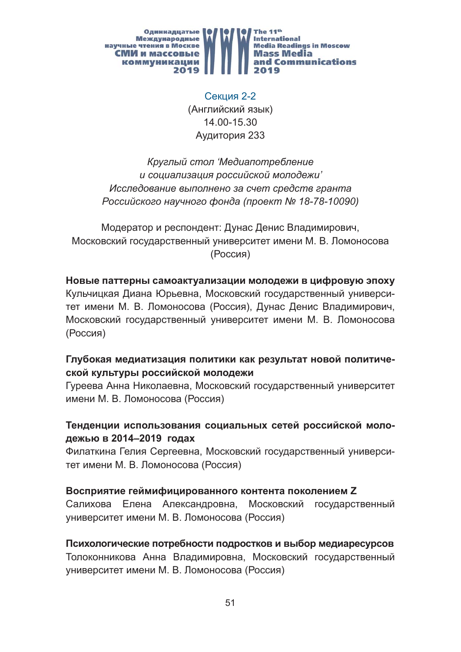

Секция 2-2 (Английский язык) 14.00-15.30 Аудитория 233

*Круглый стол 'Медиапотребление и социализация российской молодежи' Исследование выполнено за счет средств гранта Российского научного фонда (проект № 18-78-10090)*

Модератор и респондент: Дунас Денис Владимирович, Московский государственный университет имени М. В. Ломоносова (Россия)

#### **Новые паттерны самоактуализации молодежи в цифровую эпоху**

Кульчицкая Диана Юрьевна, Московский государственный университет имени М. В. Ломоносова (Россия), Дунас Денис Владимирович, Московский государственный университет имени М. В. Ломоносова (Россия)

#### **Глубокая медиатизация политики как результат новой политической культуры российской молодежи**

Гуреева Анна Николаевна, Московский государственный университет имени М. В. Ломоносова (Россия)

#### **Тенденции использования социальных сетей российской молодежью в 2014–2019 годах**

Филаткина Гелия Сергеевна, Московский государственный университет имени М. В. Ломоносова (Россия)

#### **Восприятие геймифицированного контента поколением Z**

Салихова Елена Александровна, Московский государственный университет имени М. В. Ломоносова (Россия)

#### **Психологические потребности подростков и выбор медиаресурсов**

Толоконникова Анна Владимировна, Московский государственный университет имени М. В. Ломоносова (Россия)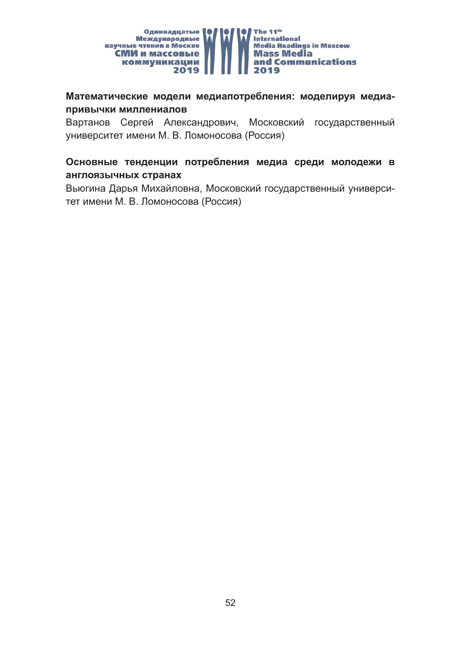

#### **Математические модели медиапотребления: моделируя медиапривычки миллениалов**

Вартанов Сергей Александрович, Московский государственный университет имени М. В. Ломоносова (Россия)

#### **Основные тенденции потребления медиа среди молодежи в англоязычных странах**

Вьюгина Дарья Михайловна, Московский государственный университет имени М. В. Ломоносова (Россия)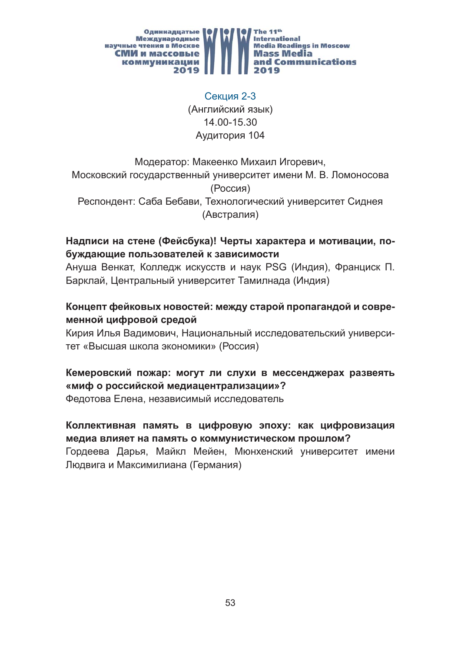

Секция 2-3 (Английский язык) 14.00-15.30 Аудитория 104

Модератор: Макеенко Михаил Игоревич, Московский государственный университет имени М. В. Ломоносова (Россия) Респондент: Саба Бебави, Технологический университет Сиднея (Австралия)

# **Надписи на стене (Фейсбука)! Черты характера и мотивации, побуждающие пользователей к зависимости**

Ануша Венкат, Колледж искусств и наук PSG (Индия), Франциск П. Барклай, Центральный университет Тамилнада (Индия)

## **Концепт фейковых новостей: между старой пропагандой и современной цифровой средой**

Кирия Илья Вадимович, Национальный исследовательский университет «Высшая школа экономики» (Россия)

#### **Кемеровский пожар: могут ли слухи в мессенджерах развеять «миф о российской медиацентрализации»?**

Федотова Елена, независимый исследователь

# **Коллективная память в цифровую эпоху: как цифровизация медиа влияет на память о коммунистическом прошлом?**

Гордеева Дарья, Майкл Мейен, Мюнхенский университет имени Людвига и Максимилиана (Германия)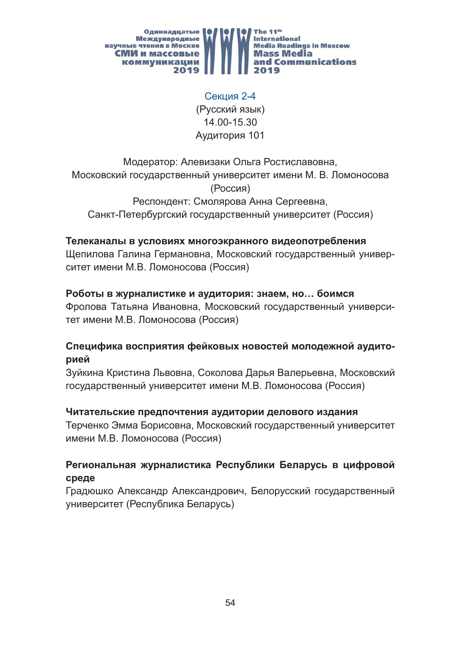

Секция 2-4 (Русский язык) 14.00-15.30 Аудитория 101

Модератор: Алевизаки Ольга Ростиславовна, Московский государственный университет имени М. В. Ломоносова (Россия) Респондент: Смолярова Анна Сергеевна, Санкт-Петербургский государственный университет (Россия)

#### **Телеканалы в условиях многоэкранного видеопотребления**

Щепилова Галина Германовна, Московский государственный университет имени М.В. Ломоносова (Россия)

#### **Роботы в журналистике и аудитория: знаем, но… боимся**

Фролова Татьяна Ивановна, Московский государственный университет имени М.В. Ломоносова (Россия)

#### **Специфика восприятия фейковых новостей молодежной аудиторией**

Зуйкина Кристина Львовна, Соколова Дарья Валерьевна, Московский государственный университет имени М.В. Ломоносова (Россия)

#### **Читательские предпочтения аудитории делового издания**

Терченко Эмма Борисовна, Московский государственный университет имени М.В. Ломоносова (Россия)

#### **Региональная журналистика Республики Беларусь в цифровой среде**

Градюшко Александр Александрович, Белорусский государственный университет (Республика Беларусь)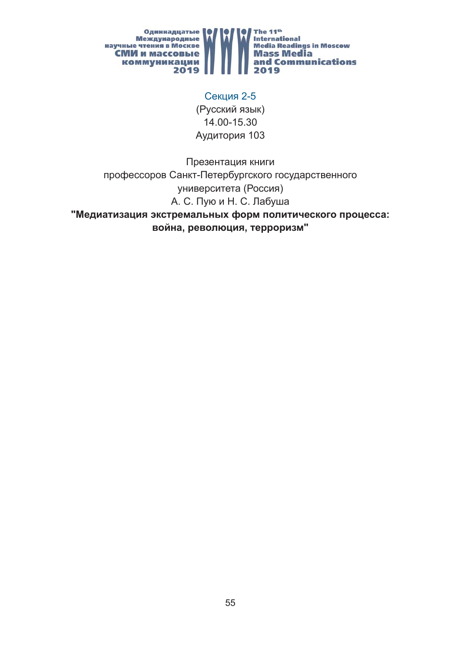

Секция 2-5 (Русский язык) 14.00-15.30 Аудитория 103

Презентация книги профессоров Санкт-Петербургского государственного университета (Россия) А. С. Пую и Н. С. Лабуша

**"Медиатизация экстремальных форм политического процесса: война, революция, терроризм"**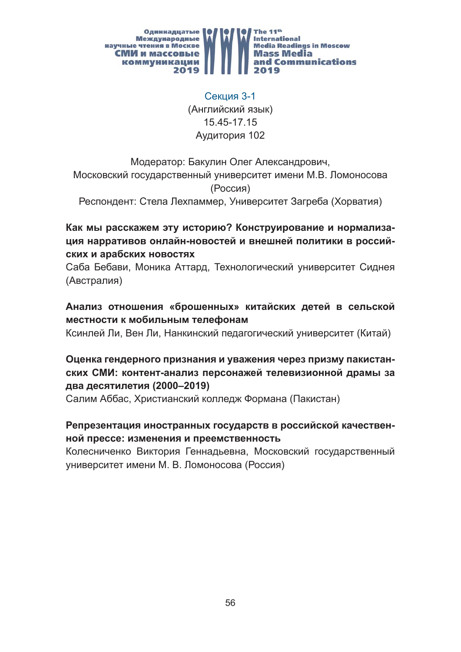

Секция 3-1 (Английский язык) 15.45-17.15 Аудитория 102

Модератор: Бакулин Олег Александрович, Московский государственный университет имени М.В. Ломоносова (Россия)

Респондент: Стела Лехпаммер, Университет Загреба (Хорватия)

**Как мы расскажем эту историю? Конструирование и нормализация нарративов онлайн-новостей и внешней политики в российских и арабских новостях**

Саба Бебави, Моника Аттард, Технологический университет Сиднея (Австралия)

**Анализ отношения «брошенных» китайских детей в сельской местности к мобильным телефонам**

Ксинлей Ли, Вен Ли, Нанкинский педагогический университет (Китай)

## **Оценка гендерного признания и уважения через призму пакистанских СМИ: контент-анализ персонажей телевизионной драмы за два десятилетия (2000–2019)**

Салим Аббас, Христианский колледж Формана (Пакистан)

#### **Репрезентация иностранных государств в российской качественной прессе: изменения и преемственность**

Колесниченко Виктория Геннадьевна, Московский государственный университет имени М. В. Ломоносова (Россия)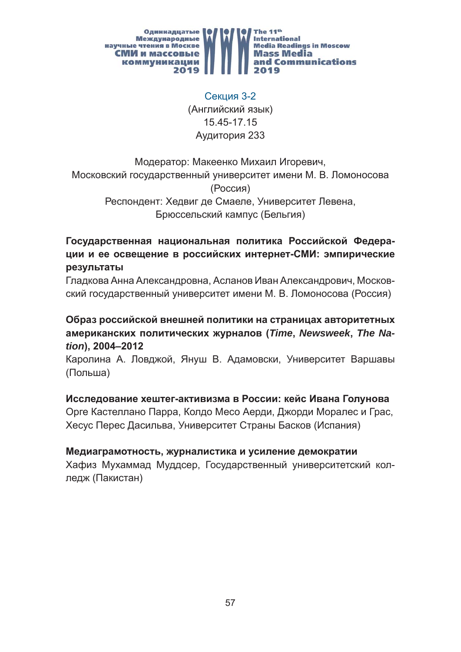

Секция 3-2 (Английский язык) 15.45-17.15 Аудитория 233

Модератор: Макеенко Михаил Игоревич, Московский государственный университет имени М. В. Ломоносова (Россия) Респондент: Хедвиг де Смаеле, Университет Левена, Брюссельский кампус (Бельгия)

**Государственная национальная политика Российской Федерации и ее освещение в российских интернет-СМИ: эмпирические результаты**

Гладкова Анна Александровна, Асланов Иван Александрович, Московский государственный университет имени М. В. Ломоносова (Россия)

**Образ российской внешней политики на страницах авторитетных американских политических журналов (***Time***,** *Newsweek***,** *The Nation***), 2004–2012**

Каролина А. Ловджой, Януш В. Адамовски, Университет Варшавы (Польша)

**Исследование хештег-активизма в России: кейс Ивана Голунова** Орге Кастеллано Парра, Колдо Месо Аерди, Джорди Моралес и Грас, Хесус Перес Дасильва, Университет Страны Басков (Испания)

**Медиаграмотность, журналистика и усиление демократии** Хафиз Мухаммад Муддсер, Государственный университетский кол-

ледж (Пакистан)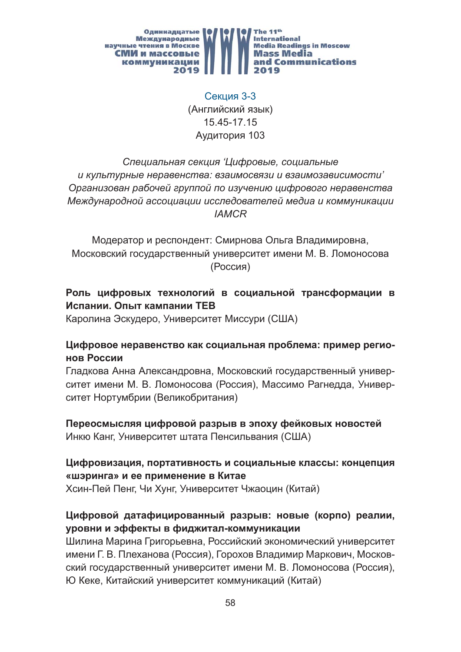

Секция 3-3 (Английский язык) 15.45-17.15 Аудитория 103

# *Специальная секция 'Цифровые, социальные и культурные неравенства: взаимосвязи и взаимозависимости' Организован рабочей группой по изучению цифрового неравенства Международной ассоциации исследователей медиа и коммуникации IAMCR*

Модератор и респондент: Смирнова Ольга Владимировна, Московский государственный университет имени М. В. Ломоносова (Россия)

# **Роль цифровых технологий в социальной трансформации в Испании. Опыт кампании TEB**

Каролина Эскудеро, Университет Миссури (США)

#### **Цифровое неравенство как социальная проблема: пример регионов России**

Гладкова Анна Александровна, Московский государственный университет имени М. В. Ломоносова (Россия), Массимо Рагнедда, Университет Нортумбрии (Великобритания)

#### **Переосмысляя цифровой разрыв в эпоху фейковых новостей** Инкю Канг, Университет штата Пенсильвания (США)

#### **Цифровизация, портативность и социальные классы: концепция «шэринга» и ее применение в Китае**

Хсин-Пей Пенг, Чи Хунг, Университет Чжаоцин (Китай)

# **Цифровой датафицированный разрыв: новые (корпо) реалии, уровни и эффекты в фиджитал-коммуникации**

Шилина Марина Григорьевна, Российский экономический университет имени Г. В. Плеханова (Россия), Горохов Владимир Маркович, Московский государственный университет имени М. В. Ломоносова (Россия), Ю Кеке, Китайский университет коммуникаций (Китай)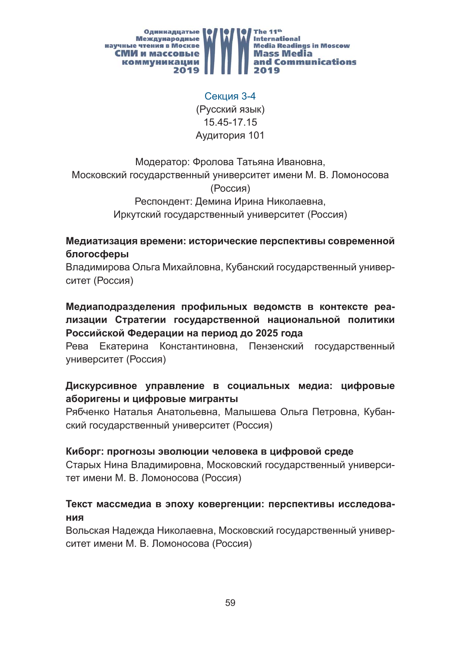

Секция 3-4 (Русский язык) 15.45-17.15 Аудитория 101

# Модератор: Фролова Татьяна Ивановна, Московский государственный университет имени М. В. Ломоносова (Россия) Респондент: Демина Ирина Николаевна, Иркутский государственный университет (Россия)

#### **Медиатизация времени: исторические перспективы современной блогосферы**

Владимирова Ольга Михайловна, Кубанский государственный университет (Россия)

**Медиаподразделения профильных ведомств в контексте реализации Стратегии государственной национальной политики Российской Федерации на период до 2025 года**

Рева Екатерина Константиновна, Пензенский государственный университет (Россия)

# **Дискурсивное управление в социальных медиа: цифровые аборигены и цифровые мигранты**

Рябченко Наталья Анатольевна, Малышева Ольга Петровна, Кубанский государственный университет (Россия)

#### **Киборг: прогнозы эволюции человека в цифровой среде**

Старых Нина Владимировна, Московский государственный университет имени М. В. Ломоносова (Россия)

#### **Текст массмедиа в эпоху ковергенции: перспективы исследования**

Вольская Надежда Николаевна, Московский государственный университет имени М. В. Ломоносова (Россия)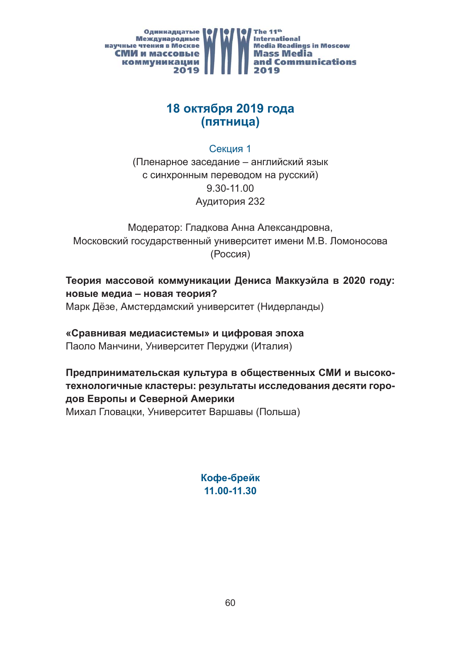

# **18 октября 2019 года (пятница)**

Секция 1

(Пленарное заседание – английский язык с синхронным переводом на русский) 9.30-11.00 Аудитория 232

Модератор: Гладкова Анна Александровна, Московский государственный университет имени М.В. Ломоносова (Россия)

**Теория массовой коммуникации Дениса Маккуэйла в 2020 году: новые медиа – новая теория?** Марк Дёзе, Амстердамский университет (Нидерланды)

# **«Сравнивая медиасистемы» и цифровая эпоха**

Паоло Манчини, Университет Перуджи (Италия)

# **Предпринимательская культура в общественных СМИ и высокотехнологичные кластеры: результаты исследования десяти городов Европы и Северной Америки**

Михал Гловацки, Университет Варшавы (Польша)

**Кофе-брейк 11.00-11.30**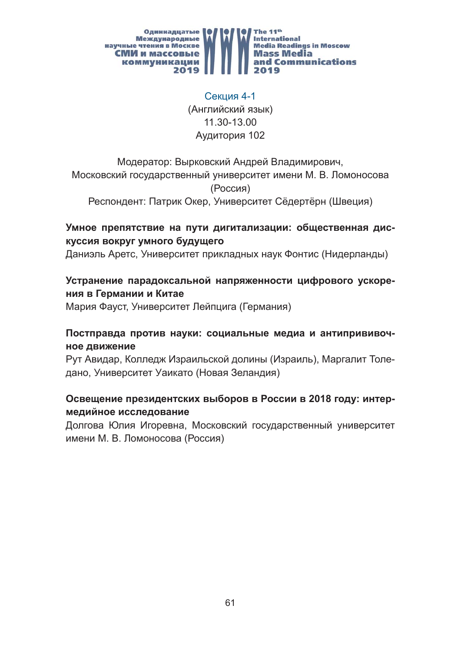

Секция 4-1 (Английский язык) 11.30-13.00 Аудитория 102

Модератор: Вырковский Андрей Владимирович, Московский государственный университет имени М. В. Ломоносова (Россия)

Респондент: Патрик Окер, Университет Сёдертёрн (Швеция)

## **Умное препятствие на пути дигитализации: общественная дискуссия вокруг умного будущего**

Даниэль Аретс, Университет прикладных наук Фонтис (Нидерланды)

## **Устранение парадоксальной напряженности цифрового ускорения в Германии и Китае**

Мария Фауст, Университет Лейпцига (Германия)

#### **Постправда против науки: социальные медиа и антипрививочное движение**

Рут Авидар, Колледж Израильской долины (Израиль), Маргалит Толедано, Университет Уаикато (Новая Зеландия)

#### **Освещение президентских выборов в России в 2018 году: интермедийное исследование**

Долгова Юлия Игоревна, Московский государственный университет имени М. В. Ломоносова (Россия)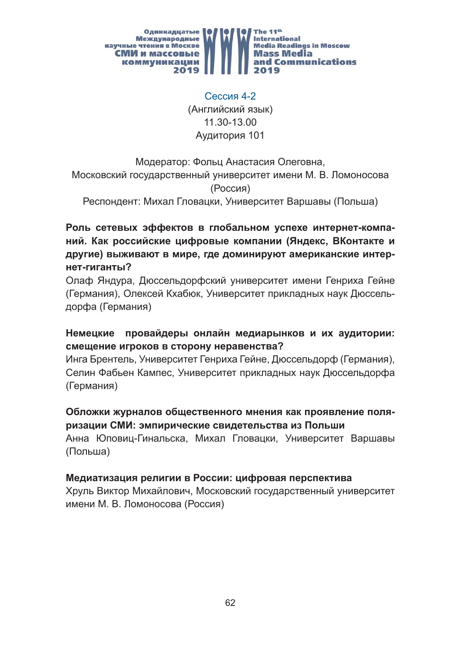

Сессия 4-2 (Английский язык) 11.30-13.00 Аудитория 101

# Модератор: Фольц Анастасия Олеговна, Московский государственный университет имени М. В. Ломоносова (Россия)

Респондент: Михал Гловацки, Университет Варшавы (Польша)

**Роль сетевых эффектов в глобальном успехе интернет-компаний. Как российские цифровые компании (Яндекс, ВКонтакте и другие) выживают в мире, где доминируют американские интернет-гиганты?** 

Олаф Яндура, Дюссельдорфский университет имени Генриха Гейне (Германия), Олексей Кхабюк, Университет прикладных наук Дюссельдорфа (Германия)

#### **Немецкие провайдеры онлайн медиарынков и их аудитории: смещение игроков в сторону неравенства?**

Инга Брентель, Университет Генриха Гейне, Дюссельдорф (Германия), Селин Фабьен Кампес, Университет прикладных наук Дюссельдорфа (Германия)

#### **Обложки журналов общественного мнения как проявление поляризации СМИ: эмпирические свидетельства из Польши**

Анна Юповиц-Гинальска, Михал Гловацки, Университет Варшавы (Польша)

# **Медиатизация религии в России: цифровая перспектива**

Хруль Виктор Михайлович, Московский государственный университет имени М. В. Ломоносова (Россия)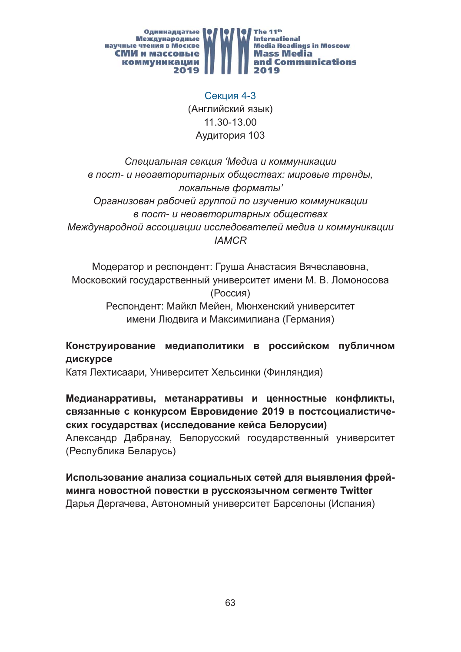

Секция 4-3 (Английский язык) 11.30-13.00 Аудитория 103

*Специальная секция 'Медиа и коммуникации в пост- и неоавторитарных обществах: мировые тренды, локальные форматы' Организован рабочей группой по изучению коммуникации в пост- и неоавторитарных обществах Международной ассоциации исследователей медиа и коммуникации IAMCR*

Модератор и респондент: Груша Анастасия Вячеславовна, Московский государственный университет имени М. В. Ломоносова (Россия) Респондент: Майкл Мейен, Мюнхенский университет имени Людвига и Максимилиана (Германия)

#### **Конструирование медиаполитики в российском публичном дискурсе**

Катя Лехтисаари, Университет Хельсинки (Финляндия)

**Медианарративы, метанарративы и ценностные конфликты, связанные с конкурсом Евровидение 2019 в постсоциалистических государствах (исследование кейса Белорусии)**  Александр Дабранау, Белорусский государственный университет (Республика Беларусь)

**Использование анализа социальных сетей для выявления фрейминга новостной повестки в русскоязычном сегменте Twitter**  Дарья Дергачева, Автономный университет Барселоны (Испания)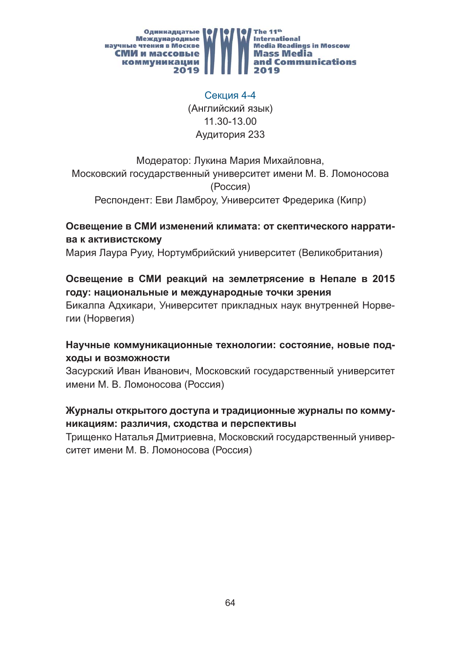

Секция 4-4 (Английский язык) 11.30-13.00 Аудитория 233

Модератор: Лукина Мария Михайловна, Московский государственный университет имени М. В. Ломоносова (Россия) Респондент: Еви Ламброу, Университет Фредерика (Кипр)

# **Освещение в СМИ изменений климата: от скептического нарратива к активистскому**

Мария Лаура Руиу, Нортумбрийский университет (Великобритания)

# **Освещение в СМИ реакций на землетрясение в Непале в 2015 году: национальные и международные точки зрения**

Бикалпа Адхикари, Университет прикладных наук внутренней Норвегии (Норвегия)

#### **Научные коммуникационные технологии: состояние, новые подходы и возможности**

Засурский Иван Иванович, Московский государственный университет имени М. В. Ломоносова (Россия)

#### **Журналы открытого доступа и традиционные журналы по коммуникациям: различия, сходства и перспективы**

Трищенко Наталья Дмитриевна, Московский государственный университет имени М. В. Ломоносова (Россия)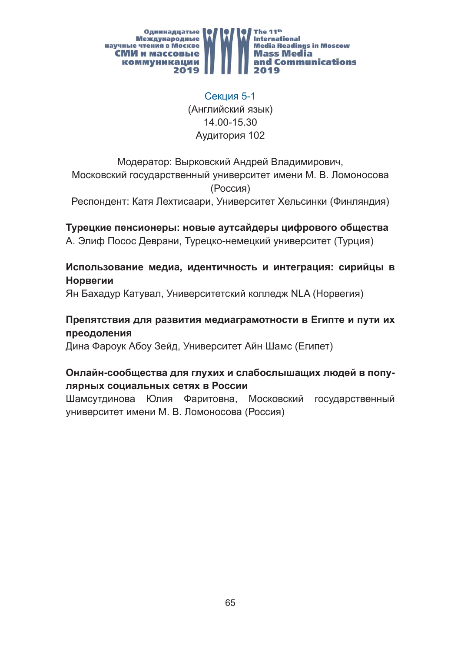

# Секция 5-1 (Английский язык) 14.00-15.30 Аудитория 102

# Модератор: Вырковский Андрей Владимирович, Московский государственный университет имени М. В. Ломоносова (Россия)

Респондент: Катя Лехтисаари, Университет Хельсинки (Финляндия)

# **Турецкие пенсионеры: новые аутсайдеры цифрового общества**

А. Элиф Посос Деврани, Турецко-немецкий университет (Турция)

#### **Использование медиа, идентичность и интеграция: сирийцы в Норвегии**

Ян Бахадур Катувал, Университетский колледж NLA (Норвегия)

# **Препятствия для развития медиаграмотности в Египте и пути их преодоления**

Дина Фароук Абоу Зейд, Университет Айн Шамс (Египет)

# **Онлайн-сообщества для глухих и слабослышащих людей в популярных социальных сетях в России**

Шамсутдинова Юлия Фаритовна, Московский государственный университет имени М. В. Ломоносова (Россия)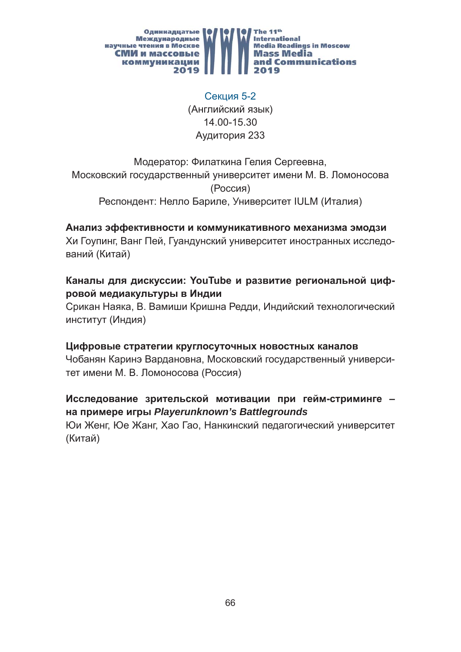

Секция 5-2 (Английский язык) 14.00-15.30 Аудитория 233

# Модератор: Филаткина Гелия Сергеевна, Московский государственный университет имени М. В. Ломоносова (Россия) Респондент: Нелло Бариле, Университет IULM (Италия)

#### **Анализ эффективности и коммуникативного механизма эмодзи**

Хи Гоупинг, Ванг Пей, Гуандунский университет иностранных исследований (Китай)

## **Каналы для дискуссии: YouTube и развитие региональной цифровой медиакультуры в Индии**

Срикан Наяка, В. Вамиши Кришна Редди, Индийский технологический институт (Индия)

#### **Цифровые стратегии круглосуточных новостных каналов**

Чобанян Каринэ Вардановна, Московский государственный университет имени М. В. Ломоносова (Россия)

#### **Исследование зрительской мотивации при гейм-стриминге – на примере игры** *Playerunknown's Battlegrounds*

Юи Женг, Юе Жанг, Хао Гао, Нанкинский педагогический университет (Китай)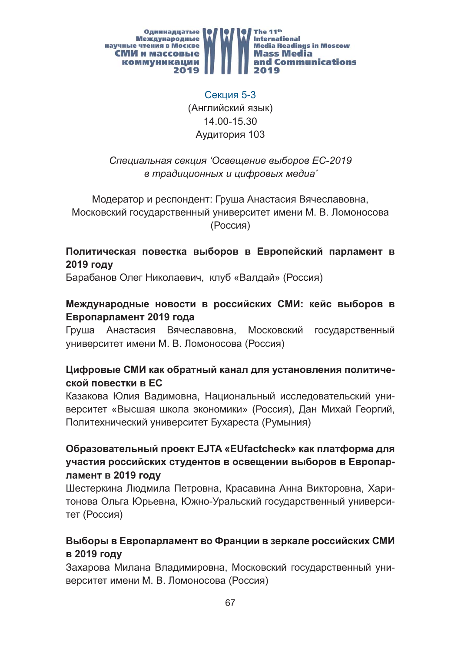

# Секция 5-3 (Английский язык) 14.00-15.30 Аудитория 103

## *Специальная секция 'Освещение выборов ЕС-2019 в традиционных и цифровых медиа'*

Модератор и респондент: Груша Анастасия Вячеславовна, Московский государственный университет имени М. В. Ломоносова (Россия)

# **Политическая повестка выборов в Европейский парламент в 2019 году**

Барабанов Олег Николаевич, клуб «Валдай» (Россия)

#### **Международные новости в российских СМИ: кейс выборов в Европарламент 2019 года**

Груша Анастасия Вячеславовна, Московский государственный университет имени М. В. Ломоносова (Россия)

# **Цифровые СМИ как обратный канал для установления политической повестки в ЕС**

Казакова Юлия Вадимовна, Национальный исследовательский университет «Высшая школа экономики» (Россия), Дан Михай Георгий, Политехнический университет Бухареста (Румыния)

# **Образовательный проект EJTA «EUfactcheck» как платформа для участия российских студентов в освещении выборов в Европарламент в 2019 году**

Шестеркина Людмила Петровна, Красавина Анна Викторовна, Харитонова Ольга Юрьевна, Южно-Уральский государственный университет (Россия)

# **Выборы в Европарламент во Франции в зеркале российских СМИ в 2019 году**

Захарова Милана Владимировна, Московский государственный университет имени М. В. Ломоносова (Россия)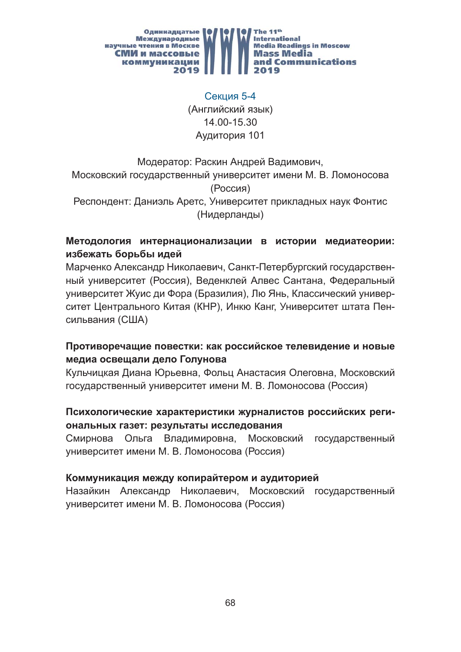

Секция 5-4 (Английский язык) 14.00-15.30 Аудитория 101

Модератор: Раскин Андрей Вадимович, Московский государственный университет имени М. В. Ломоносова (Россия) Респондент: Даниэль Аретс, Университет прикладных наук Фонтис (Нидерланды)

# **Методология интернационализации в истории медиатеории: избежать борьбы идей**

Марченко Александр Николаевич, Санкт-Петербургский государственный университет (Россия), Веденклей Алвес Сантана, Федеральный университет Жуис ди Фора (Бразилия), Лю Янь, Классический университет Центрального Китая (КНР), Инкю Канг, Университет штата Пенсильвания (США)

# **Противоречащие повестки: как российское телевидение и новые медиа освещали дело Голунова**

Кульчицкая Диана Юрьевна, Фольц Анастасия Олеговна, Московский государственный университет имени М. В. Ломоносова (Россия)

#### **Психологические характеристики журналистов российских региональных газет: результаты исследования**

Смирнова Ольга Владимировна, Московский государственный университет имени М. В. Ломоносова (Россия)

# **Коммуникация между копирайтером и аудиторией**

Назайкин Александр Николаевич, Московский государственный университет имени М. В. Ломоносова (Россия)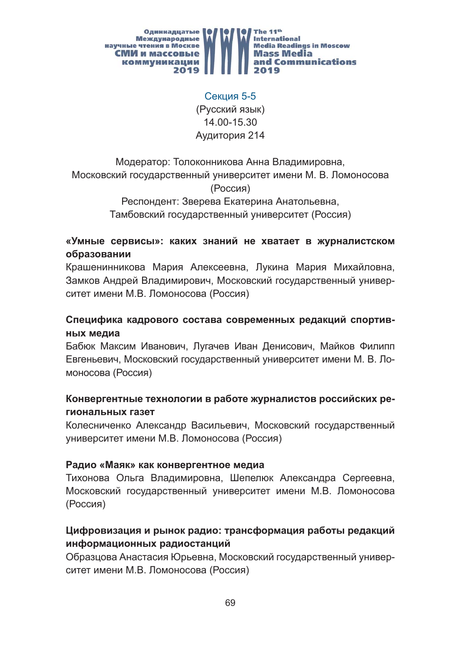

Секция 5-5 (Русский язык) 14.00-15.30 Аудитория 214

Модератор: Толоконникова Анна Владимировна, Московский государственный университет имени М. В. Ломоносова (Россия) Респондент: Зверева Екатерина Анатольевна,

Тамбовский государственный университет (Россия)

#### **«Умные сервисы»: каких знаний не хватает в журналистском образовании**

Крашенинникова Мария Алексеевна, Лукина Мария Михайловна, Замков Андрей Владимирович, Московский государственный университет имени М.В. Ломоносова (Россия)

#### **Специфика кадрового состава современных редакций спортивных медиа**

Бабюк Максим Иванович, Лугачев Иван Денисович, Майков Филипп Евгеньевич, Московский государственный университет имени М. В. Ломоносова (Россия)

#### **Конвергентные технологии в работе журналистов российских региональных газет**

Колесниченко Александр Васильевич, Московский государственный университет имени М.В. Ломоносова (Россия)

#### **Радио «Маяк» как конвергентное медиа**

Тихонова Ольга Владимировна, Шепелюк Александра Сергеевна, Московский государственный университет имени М.В. Ломоносова (Россия)

#### **Цифровизация и рынок радио: трансформация работы редакций информационных радиостанций**

Образцова Анастасия Юрьевна, Московский государственный университет имени М.В. Ломоносова (Россия)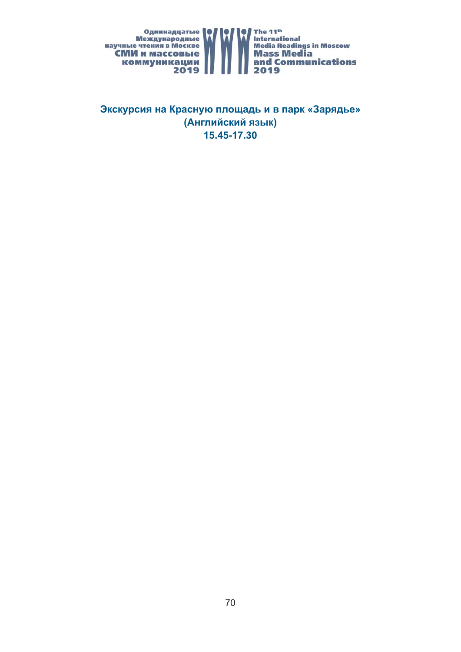

**Экскурсия на Красную площадь и в парк «Зарядье» (Английский язык) 15.45-17.30**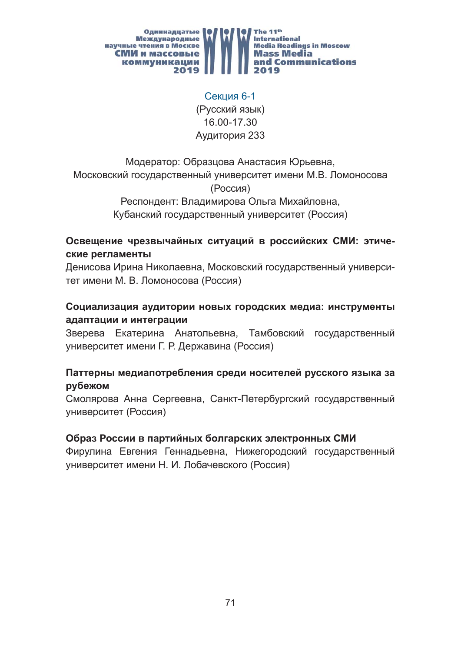

Секция 6-1 (Русский язык) 16.00-17.30 Аудитория 233

Модератор: Образцова Анастасия Юрьевна, Московский государственный университет имени М.В. Ломоносова (Россия) Респондент: Владимирова Ольга Михайловна,

Кубанский государственный университет (Россия)

## **Освещение чрезвычайных ситуаций в российских СМИ: этические регламенты**

Денисова Ирина Николаевна, Московский государственный университет имени М. В. Ломоносова (Россия)

## **Социализация аудитории новых городских медиа: инструменты адаптации и интеграции**

Зверева Екатерина Анатольевна, Тамбовский государственный университет имени Г. Р. Державина (Россия)

#### **Паттерны медиапотребления среди носителей русского языка за рубежом**

Смолярова Анна Сергеевна, Санкт-Петербургский государственный университет (Россия)

#### **Образ России в партийных болгарских электронных СМИ**

Фирулина Евгения Геннадьевна, Нижегородский государственный университет имени Н. И. Лобачевского (Россия)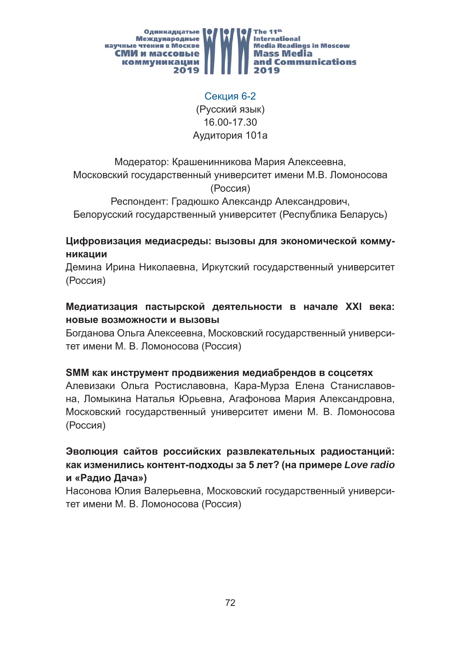

Секция 6-2 (Русский язык) 16.00-17.30 Аудитория 101a

Модератор: Крашенинникова Мария Алексеевна, Московский государственный университет имени М.В. Ломоносова (Россия)

Респондент: Градюшко Александр Александрович, Белорусский государственный университет (Республика Беларусь)

#### **Цифровизация медиасреды: вызовы для экономической коммуникации**

Демина Ирина Николаевна, Иркутский государственный университет (Россия)

## **Медиатизация пастырской деятельности в начале XXI века: новые возможности и вызовы**

Богданова Ольга Алексеевна, Московский государственный университет имени М. В. Ломоносова (Россия)

#### **SMM как инструмент продвижения медиабрендов в соцсетях**

Алевизаки Ольга Ростиславовна, Кара-Мурза Елена Станиславовна, Ломыкина Наталья Юрьевна, Агафонова Мария Александровна, Московский государственный университет имени М. В. Ломоносова (Россия)

# **Эволюция сайтов российских развлекательных радиостанций: как изменились контент-подходы за 5 лет? (на примере** *Love radio* **и «Радио Дача»)**

Насонова Юлия Валерьевна, Московский государственный университет имени М. В. Ломоносова (Россия)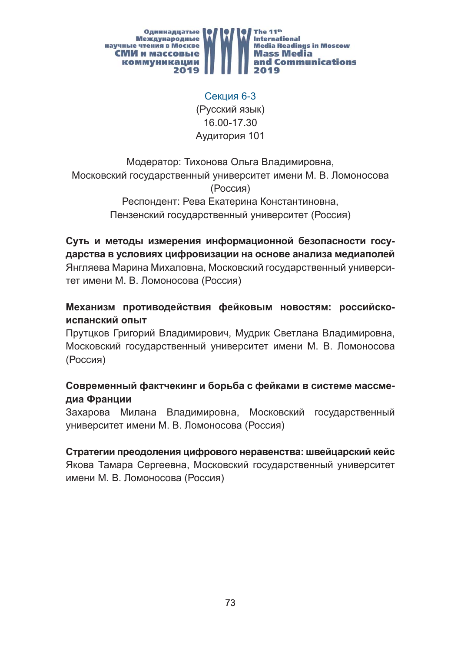

Секция 6-3 (Русский язык) 16.00-17.30 Аудитория 101

Модератор: Тихонова Ольга Владимировна, Московский государственный университет имени М. В. Ломоносова (Россия) Респондент: Рева Екатерина Константиновна, Пензенский государственный университет (Россия)

**Суть и методы измерения информационной безопасности государства в условиях цифровизации на основе анализа медиаполей** Янгляева Марина Михаловна, Московский государственный университет имени М. В. Ломоносова (Россия)

**Механизм противодействия фейковым новостям: российскоиспанский опыт**

Прутцков Григорий Владимирович, Мудрик Светлана Владимировна, Московский государственный университет имени М. В. Ломоносова (Россия)

## **Современный фактчекинг и борьба с фейками в системе массмедиа Франции**

Захарова Милана Владимировна, Московский государственный университет имени М. В. Ломоносова (Россия)

**Стратегии преодоления цифрового неравенства: швейцарский кейс** Якова Тамара Сергеевна, Московский государственный университет имени М. В. Ломоносова (Россия)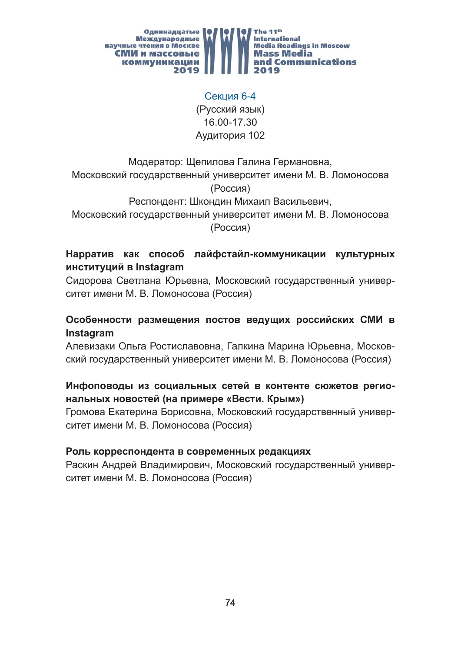

Секция 6-4 (Русский язык) 16.00-17.30 Аудитория 102

Модератор: Щепилова Галина Германовна, Московский государственный университет имени М. В. Ломоносова (Россия) Респондент: Шкондин Михаил Васильевич, Московский государственный университет имени М. В. Ломоносова

(Россия)

# **Нарратив как способ лайфстайл-коммуникации культурных институций в Instagram**

Сидорова Светлана Юрьевна, Московский государственный университет имени М. В. Ломоносова (Россия)

## **Особенности размещения постов ведущих российских СМИ в Instagram**

Алевизаки Ольга Ростиславовна, Галкина Марина Юрьевна, Московский государственный университет имени М. В. Ломоносова (Россия)

## **Инфоповоды из социальных сетей в контенте сюжетов региональных новостей (на примере «Вести. Крым»)**

Громова Екатерина Борисовна, Московский государственный университет имени М. В. Ломоносова (Россия)

#### **Роль корреспондента в современных редакциях**

Раскин Андрей Владимирович, Московский государственный университет имени М. В. Ломоносова (Россия)